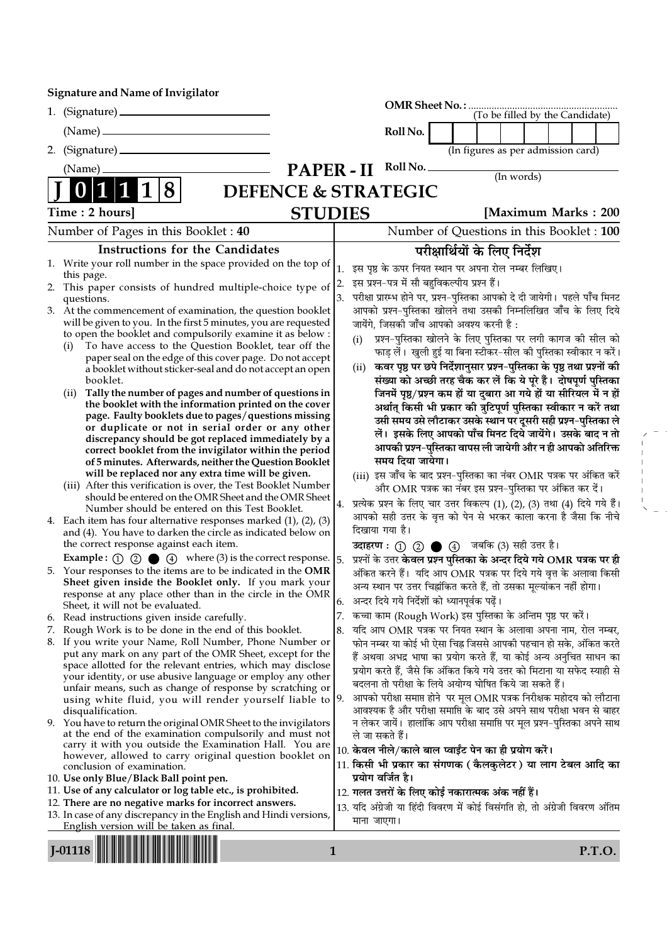Signature and Name of Invigilator

|                                                                                                                                          |                                |                  |                   |                                               |                                                     | (To be filled by the Candidate)                                                                                                                 |  |        |
|------------------------------------------------------------------------------------------------------------------------------------------|--------------------------------|------------------|-------------------|-----------------------------------------------|-----------------------------------------------------|-------------------------------------------------------------------------------------------------------------------------------------------------|--|--------|
|                                                                                                                                          |                                |                  | Roll No.          |                                               |                                                     |                                                                                                                                                 |  |        |
| 2. (Signature)                                                                                                                           |                                |                  |                   |                                               |                                                     | (In figures as per admission card)                                                                                                              |  |        |
|                                                                                                                                          |                                |                  | Roll No.          |                                               |                                                     |                                                                                                                                                 |  |        |
| (Name)                                                                                                                                   | <b>PAPER-II</b>                |                  |                   |                                               |                                                     | (In words)                                                                                                                                      |  |        |
| 8                                                                                                                                        | <b>DEFENCE &amp; STRATEGIC</b> |                  |                   |                                               |                                                     |                                                                                                                                                 |  |        |
| Time : 2 hours]                                                                                                                          | <b>STUDIES</b>                 |                  |                   |                                               |                                                     | [Maximum Marks: 200                                                                                                                             |  |        |
| Number of Pages in this Booklet: 40                                                                                                      |                                |                  |                   |                                               |                                                     | Number of Questions in this Booklet: 100                                                                                                        |  |        |
| <b>Instructions for the Candidates</b>                                                                                                   |                                |                  |                   |                                               |                                                     | परीक्षार्थियों के लिए निर्देश                                                                                                                   |  |        |
| 1. Write your roll number in the space provided on the top of                                                                            |                                | $\mathbf{1}$ .   |                   |                                               |                                                     | इस पृष्ठ के ऊपर नियत स्थान पर अपना रोल नम्बर लिखिए।                                                                                             |  |        |
| this page.<br>2. This paper consists of hundred multiple-choice type of                                                                  |                                | $\overline{2}$ . |                   | इस प्रश्न-पत्र में सौ बहुविकल्पीय प्रश्न हैं। |                                                     |                                                                                                                                                 |  |        |
| questions.                                                                                                                               |                                | 3.               |                   |                                               |                                                     | परीक्षा प्रारम्भ होने पर, प्रश्न–पुस्तिका आपको दे दी जायेगी। पहले पाँच मिनट                                                                     |  |        |
| 3. At the commencement of examination, the question booklet                                                                              |                                |                  |                   |                                               |                                                     | आपको प्रश्न-पुस्तिका खोलने तथा उसकी निम्नलिखित जाँच के लिए दिये                                                                                 |  |        |
| will be given to you. In the first 5 minutes, you are requested<br>to open the booklet and compulsorily examine it as below :            |                                |                  |                   |                                               | जायेंगे, जिसकी जाँच आपको अवश्य करनी है :            |                                                                                                                                                 |  |        |
| To have access to the Question Booklet, tear off the<br>(i)                                                                              |                                | (i)              |                   |                                               |                                                     | प्रश्न-पुस्तिका खोलने के लिए पुस्तिका पर लगी कागज की सील को                                                                                     |  |        |
| paper seal on the edge of this cover page. Do not accept                                                                                 |                                |                  |                   |                                               |                                                     | फाड़ लें। खुली हुई या बिना स्टीकर-सील की पुस्तिका स्वीकार न करें।                                                                               |  |        |
| a booklet without sticker-seal and do not accept an open<br>booklet.                                                                     |                                | (ii)             |                   |                                               |                                                     | कवर पृष्ठ पर छपे निर्देशानुसार प्रश्न-पुस्तिका के पृष्ठ तथा प्रश्नों की<br>संख्या को अच्छी तरह चैक कर लें कि ये पूरे हैं। दोषपूर्ण पुस्तिका     |  |        |
| (ii) Tally the number of pages and number of questions in                                                                                |                                |                  |                   |                                               |                                                     | जिनमें पृष्ठ/प्रश्न कम हों या दुबारा आ गये हों या सीरियल में न हों                                                                              |  |        |
| the booklet with the information printed on the cover                                                                                    |                                |                  |                   |                                               |                                                     | अर्थात् किसी भी प्रकार की त्रुटिपूर्ण पुस्तिका स्वीकार न करें तथा                                                                               |  |        |
| page. Faulty booklets due to pages/questions missing                                                                                     |                                |                  |                   |                                               |                                                     | उसी समय उसे लौटाकर उसके स्थान पर दूसरी सही प्रश्न-पुस्तिका ले                                                                                   |  |        |
| or duplicate or not in serial order or any other<br>discrepancy should be got replaced immediately by a                                  |                                |                  |                   |                                               |                                                     | लें। इसके लिए आपको पाँच मिनट दिये जायेंगे। उसके बाद न तो                                                                                        |  |        |
| correct booklet from the invigilator within the period                                                                                   |                                |                  |                   |                                               |                                                     | आपकी प्रश्न-पुस्तिका वापस ली जायेगी और न ही आपको अतिरिक्त                                                                                       |  |        |
| of 5 minutes. Afterwards, neither the Question Booklet                                                                                   |                                |                  |                   | समय दिया जायेगा।                              |                                                     |                                                                                                                                                 |  |        |
| will be replaced nor any extra time will be given.<br>(iii) After this verification is over, the Test Booklet Number                     |                                |                  |                   |                                               |                                                     | (iii) इस जाँच के बाद प्रश्न-पुस्तिका का नंबर OMR पत्रक पर अंकित करें                                                                            |  |        |
| should be entered on the OMR Sheet and the OMR Sheet                                                                                     |                                |                  |                   |                                               |                                                     | और OMR पत्रक का नंबर इस प्रश्न-पुस्तिका पर अंकित कर दें।                                                                                        |  |        |
| Number should be entered on this Test Booklet.                                                                                           |                                | 4.               |                   |                                               |                                                     | प्रत्येक प्रश्न के लिए चार उत्तर विकल्प (1), (2), (3) तथा (4) दिये गये हैं।<br>आपको सही उत्तर के वृत्त को पेन से भरकर काला करना है जैसा कि नीचे |  |        |
| 4. Each item has four alternative responses marked $(1)$ , $(2)$ , $(3)$<br>and (4). You have to darken the circle as indicated below on |                                |                  | दिखाया गया है।    |                                               |                                                     |                                                                                                                                                 |  |        |
| the correct response against each item.                                                                                                  |                                |                  |                   |                                               |                                                     | उदाहरण: 1 2 ● 4 जबकि (3) सही उत्तर है।                                                                                                          |  |        |
| <b>Example :</b> $\odot$ $\odot$ $\odot$ $\odot$ $\odot$ $\odot$ where (3) is the correct response.                                      |                                | 5.               |                   |                                               |                                                     | प्रश्नों के उत्तर <b>केवल प्रश्न पुस्तिका के अन्दर दिये गये OMR पत्रक पर ही</b>                                                                 |  |        |
| 5. Your responses to the items are to be indicated in the OMR                                                                            |                                |                  |                   |                                               |                                                     | अंकित करने हैं। यदि आप OMR पत्रक पर दिये गये वृत्त के अलावा किसी                                                                                |  |        |
| Sheet given inside the Booklet only. If you mark your                                                                                    |                                |                  |                   |                                               |                                                     | अन्य स्थान पर उत्तर चिह्नांकित करते हैं, तो उसका मूल्यांकन नहीं होगा।                                                                           |  |        |
| response at any place other than in the circle in the OMR<br>Sheet, it will not be evaluated.                                            |                                |                  |                   |                                               | 6.   अन्दर दिये गये निर्देशों को ध्यानपूर्वक पढ़ें। |                                                                                                                                                 |  |        |
| 6. Read instructions given inside carefully.                                                                                             |                                |                  |                   |                                               |                                                     | 7. कच्चा काम (Rough Work) इस पुस्तिका के अन्तिम पृष्ठ पर करें।                                                                                  |  |        |
| 7. Rough Work is to be done in the end of this booklet.                                                                                  |                                | 8.               |                   |                                               |                                                     | यदि आप OMR पत्रक पर नियत स्थान के अलावा अपना नाम, रोल नम्बर,                                                                                    |  |        |
| 8. If you write your Name, Roll Number, Phone Number or<br>put any mark on any part of the OMR Sheet, except for the                     |                                |                  |                   |                                               |                                                     | फोन नम्बर या कोई भी ऐसा चिह्न जिससे आपकी पहचान हो सके, अंकित करते                                                                               |  |        |
| space allotted for the relevant entries, which may disclose                                                                              |                                |                  |                   |                                               |                                                     | हैं अथवा अभद्र भाषा का प्रयोग करते हैं, या कोई अन्य अनुचित साधन का<br>प्रयोग करते हैं, जैसे कि अंकित किये गये उत्तर को मिटाना या सफेद स्याही से |  |        |
| your identity, or use abusive language or employ any other                                                                               |                                |                  |                   |                                               |                                                     | बदलना तो परीक्षा के लिये अयोग्य घोषित किये जा सकते हैं।                                                                                         |  |        |
| unfair means, such as change of response by scratching or<br>using white fluid, you will render yourself liable to $ 9$ .                |                                |                  |                   |                                               |                                                     | आपको परीक्षा समाप्त होने  पर मूल OMR पत्रक निरीक्षक महोदय को लौटाना                                                                             |  |        |
| disqualification.                                                                                                                        |                                |                  |                   |                                               |                                                     | आवश्यक है और परीक्षा समाप्ति के बाद उसे अपने साथ परीक्षा भवन से बाहर                                                                            |  |        |
| 9. You have to return the original OMR Sheet to the invigilators                                                                         |                                |                  |                   |                                               |                                                     | न लेकर जायें।  हालांकि आप परीक्षा समाप्ति पर मूल प्रश्न–पुस्तिका अपने साथ                                                                       |  |        |
| at the end of the examination compulsorily and must not<br>carry it with you outside the Examination Hall. You are                       |                                |                  | ले जा सकते हैं।   |                                               |                                                     |                                                                                                                                                 |  |        |
| however, allowed to carry original question booklet on                                                                                   |                                |                  |                   |                                               |                                                     | 10. केवल नीले/काले बाल प्वाईंट पेन का ही प्रयोग करें।                                                                                           |  |        |
| conclusion of examination.                                                                                                               |                                |                  | प्रयोग वर्जित है। |                                               |                                                     | 11. किसी भी प्रकार का संगणक ( कैलकुलेटर ) या लाग टेबल आदि का                                                                                    |  |        |
| 10. Use only Blue/Black Ball point pen.<br>11. Use of any calculator or log table etc., is prohibited.                                   |                                |                  |                   |                                               | 12. गलत उत्तरों के लिए कोई नकारात्मक अंक नहीं हैं।  |                                                                                                                                                 |  |        |
| 12. There are no negative marks for incorrect answers.                                                                                   |                                |                  |                   |                                               |                                                     | 13. यदि अंग्रेजी या हिंदी विवरण में कोई विसंगति हो, तो अंग्रेजी विवरण अंतिम                                                                     |  |        |
| 13. In case of any discrepancy in the English and Hindi versions,<br><u>English version will be taken as final.</u>                      |                                |                  | माना जाएगा।       |                                               |                                                     |                                                                                                                                                 |  |        |
|                                                                                                                                          |                                |                  |                   |                                               |                                                     |                                                                                                                                                 |  |        |
| $J-01118$                                                                                                                                | 1                              |                  |                   |                                               |                                                     |                                                                                                                                                 |  | P.T.O. |

 $\bar{\Gamma}$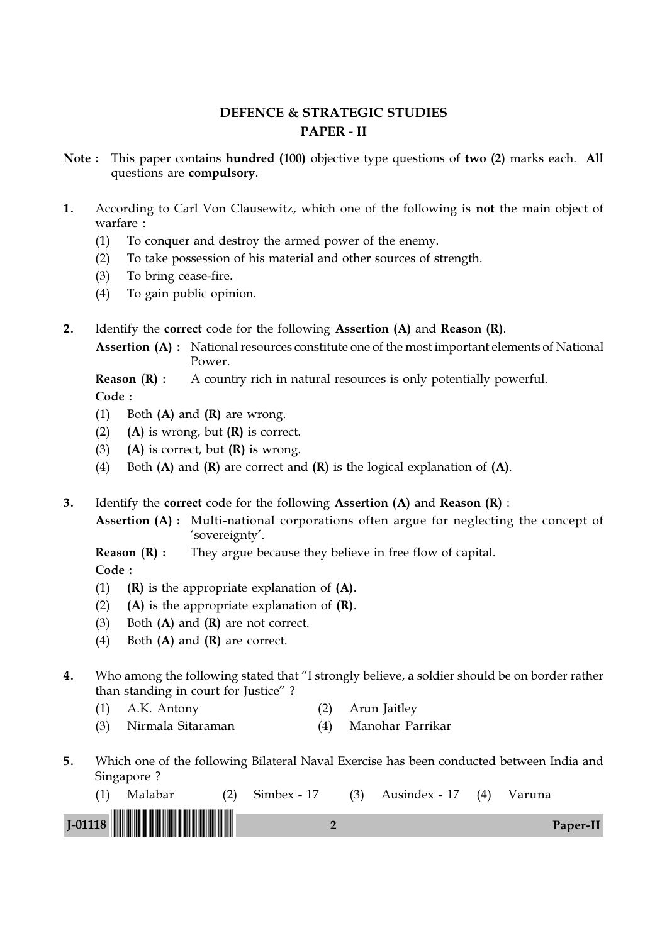# DEFENCE & STRATEGIC STUDIES PAPER - II

- Note : This paper contains hundred (100) objective type questions of two (2) marks each. All questions are compulsory.
- 1. According to Carl Von Clausewitz, which one of the following is not the main object of warfare :
	- (1) To conquer and destroy the armed power of the enemy.
	- (2) To take possession of his material and other sources of strength.
	- (3) To bring cease-fire.
	- (4) To gain public opinion.
- 2. Identify the correct code for the following Assertion (A) and Reason (R).
	- Assertion (A) : National resources constitute one of the most important elements of National Power.

### **Reason (R) :** A country rich in natural resources is only potentially powerful. Code :

- (1) Both  $(A)$  and  $(R)$  are wrong.
- (2) (A) is wrong, but  $(R)$  is correct.
- (3) (A) is correct, but  $(R)$  is wrong.
- (4) Both  $(A)$  and  $(R)$  are correct and  $(R)$  is the logical explanation of  $(A)$ .
- 3. Identify the correct code for the following Assertion (A) and Reason (R) :
	- Assertion (A) : Multi-national corporations often argue for neglecting the concept of 'sovereignty'.

**Reason (R) :** They argue because they believe in free flow of capital.

- (1)  $(R)$  is the appropriate explanation of  $(A)$ .
- (2) (A) is the appropriate explanation of  $(R)$ .
- (3) Both  $(A)$  and  $(R)$  are not correct.
- (4) Both (A) and (R) are correct.
- 4. Who among the following stated that "I strongly believe, a soldier should be on border rather than standing in court for Justice" ?
	- (1) A.K. Antony (2) Arun Jaitley
	- (3) Nirmala Sitaraman (4) Manohar Parrikar
- 5. Which one of the following Bilateral Naval Exercise has been conducted between India and Singapore ?

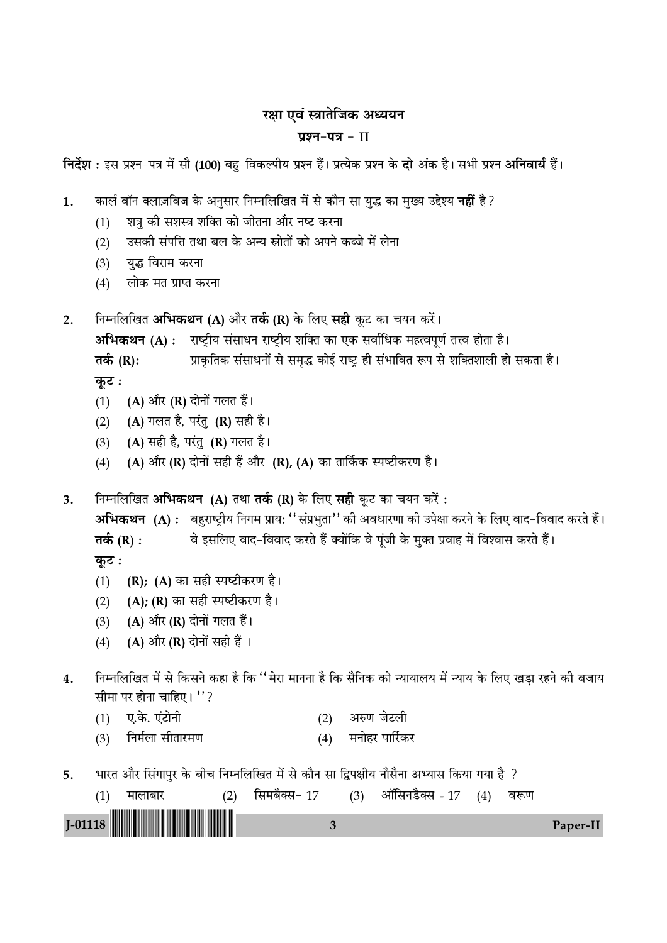## रक्षा एवं स्त्रातेजिक अध्ययन

### प्रश्न-पत्र $-$ II

निर्देश : इस प्रश्न-पत्र में सौ (100) बहु-विकल्पीय प्रश्न हैं। प्रत्येक प्रश्न के **दो** अंक है। सभी प्रश्न **अनिवार्य** हैं।

कार्ल वॉन क्लाज़विज के अनुसार निम्नलिखित में से कौन सा युद्ध का मुख्य उद्देश्य **नहीं** है ?  $\mathbf{1}$ .

- शत्रु की सशस्त्र शक्ति को जीतना और नष्ट करना  $(1)$
- उसकी संपत्ति तथा बल के अन्य स्रोतों को अपने कब्जे में लेना  $(2)$
- युद्ध विराम करना  $(3)$
- लोक मत प्राप्त करना  $(4)$
- निम्नलिखित अभिकथन (A) और तर्क (R) के लिए सही कूट का चयन करें।  $2.$

अभिकथन (A) : राष्ट्रीय संसाधन राष्ट्रीय शक्ति का एक सर्वाधिक महत्वपूर्ण तत्त्व होता है।

- तर्क  $(R)$ : प्राकृतिक संसाधनों से समृद्ध कोई राष्ट्र ही संभावित रूप से शक्तिशाली हो सकता है। कूट :
- (1) (A) और (R) दोनों गलत हैं।
- (A) गलत है, परंतु (R) सही है।  $(2)$
- (A) सही है, परंतु (R) गलत है।  $(3)$
- (A) और (R) दोनों सही हैं और (R), (A) का तार्किक स्पष्टीकरण है।  $(4)$

निम्नलिखित अभिकथन (A) तथा तर्क (R) के लिए सही कुट का चयन करें:  $3.$ 

अभिकथन (A): बहुराष्ट्रीय निगम प्राय: ''संप्रभुता'' की अवधारणा की उपेक्षा करने के लिए वाद-विवाद करते हैं। तर्क  $(R)$  : वे इसलिए वाद-विवाद करते हैं क्योंकि वे पंजी के मुक्त प्रवाह में विश्वास करते हैं। कूट :

- (1) (R); (A) का सही स्पष्टीकरण है।
- (A); (R) का सही स्पष्टीकरण है।  $(2)$
- (A) और (R) दोनों गलत हैं।  $(3)$
- (A) और (R) दोनों सही हैं ।  $(4)$
- निम्नलिखित में से किसने कहा है कि ''मेरा मानना है कि सैनिक को न्यायालय में न्याय के लिए खडा रहने की बजाय  $4.$ सीमा पर होना चाहिए। "?
	- $(1)$  ए.के. एंटोनी (2) अरुण जेटली
	- निर्मला सीतारमण (4) मनोहर पार्रिकर  $(3)$
- भारत और सिंगापुर के बीच निम्नलिखित में से कौन सा द्विपक्षीय नौसैना अभ्यास किया गया है ? 5.

| मालाबार | सिमबैक्स- 17 | (3) | ऑसिनडैक्स - 17 | (4) | वरूण |                 |
|---------|--------------|-----|----------------|-----|------|-----------------|
|         |              |     |                |     |      | <b>Paper-II</b> |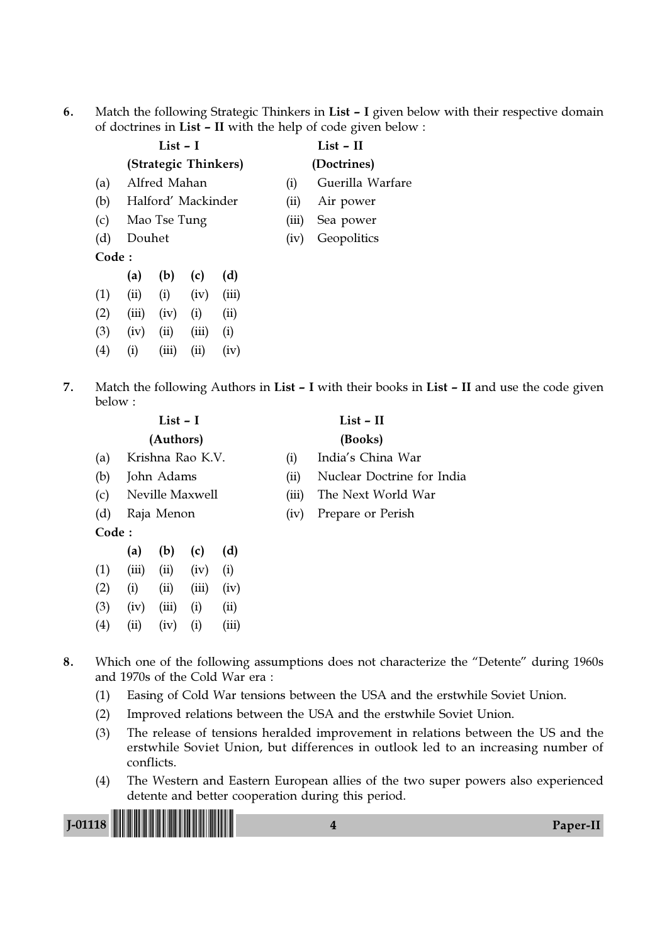6. Match the following Strategic Thinkers in List – I given below with their respective domain of doctrines in List – II with the help of code given below :

|                   |                              | $List - I$           |      |       | $List - II$ |                  |  |  |
|-------------------|------------------------------|----------------------|------|-------|-------------|------------------|--|--|
|                   |                              | (Strategic Thinkers) |      |       | (Doctrines) |                  |  |  |
| (a)               |                              | Alfred Mahan         |      |       | (i)         | Guerilla Warfare |  |  |
| (b)               |                              | Halford' Mackinder   |      |       | (ii)        | Air power        |  |  |
| (c)               |                              | Mao Tse Tung         |      |       | (iii)       | Sea power        |  |  |
| (d)               | Douhet                       |                      |      |       | (iv)        | Geopolitics      |  |  |
| Code:             |                              |                      |      |       |             |                  |  |  |
|                   | (a)                          | (b)                  | (c)  | (d)   |             |                  |  |  |
| (1)               | (ii)                         | (i)                  | (iv) | (iii) |             |                  |  |  |
| (2)               | (iii)                        | (iv)                 | (i)  | (ii)  |             |                  |  |  |
| (3)               | (iii)<br>(ii)<br>(iv)<br>(i) |                      |      |       |             |                  |  |  |
| $\left( 4\right)$ | $\rm(i)$                     | (iii)                | (ii) | (iv)  |             |                  |  |  |

7. Match the following Authors in List – I with their books in List – II and use the code given below :

|       |                  | List $-1$  |                 |                  | $List - II$ |                            |  |  |  |  |
|-------|------------------|------------|-----------------|------------------|-------------|----------------------------|--|--|--|--|
|       |                  | (Authors)  |                 |                  | (Books)     |                            |  |  |  |  |
| (a)   | Krishna Rao K.V. |            |                 |                  | (1)         | India's China War          |  |  |  |  |
| (b)   |                  | John Adams |                 |                  | (i)         | Nuclear Doctrine for India |  |  |  |  |
| (c)   |                  |            | Neville Maxwell |                  | (iii)       | The Next World War         |  |  |  |  |
| (d)   |                  | Raja Menon |                 |                  | (iv)        | Prepare or Perish          |  |  |  |  |
| Code: |                  |            |                 |                  |             |                            |  |  |  |  |
|       | (a)              | (b)        | (c)             | (d)              |             |                            |  |  |  |  |
| (1)   | (iii)            | (ii)       | (iv)            | $\left(1\right)$ |             |                            |  |  |  |  |

 $(2)$  (i) (ii) (iii) (iv)  $(3)$   $(iv)$   $(iii)$   $(i)$   $(ii)$  $(4)$   $(ii)$   $(iv)$   $(i)$   $(iii)$ 

- 8. Which one of the following assumptions does not characterize the "Detente" during 1960s and 1970s of the Cold War era :
	- (1) Easing of Cold War tensions between the USA and the erstwhile Soviet Union.
	- (2) Improved relations between the USA and the erstwhile Soviet Union.
	- (3) The release of tensions heralded improvement in relations between the US and the erstwhile Soviet Union, but differences in outlook led to an increasing number of conflicts.
	- (4) The Western and Eastern European allies of the two super powers also experienced detente and better cooperation during this period.

| 18 <b>           </b> |  |
|-----------------------|--|
|                       |  |
|                       |  |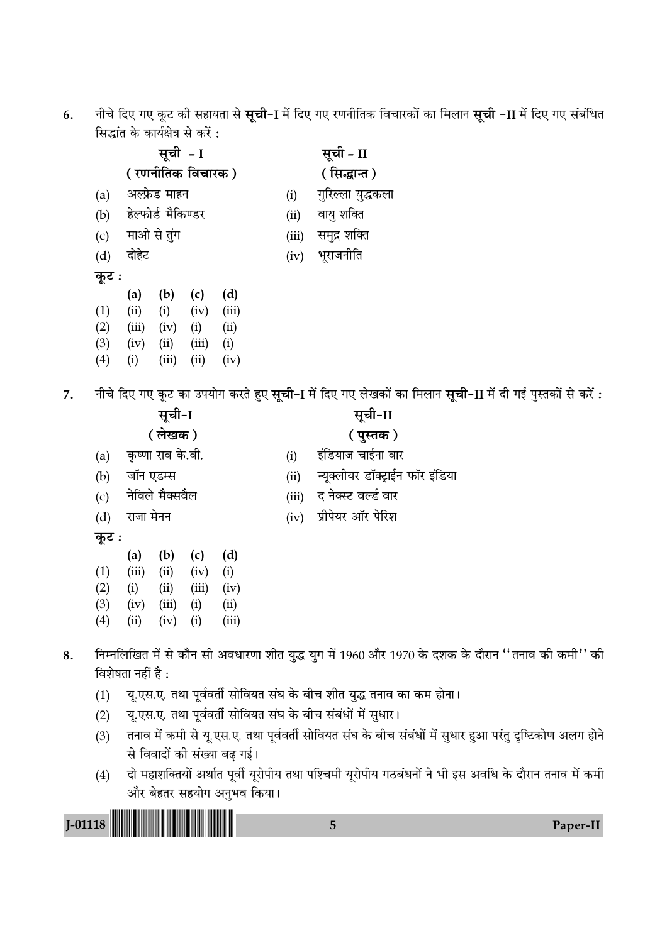6. नीचे दिए गए कूट की सहायता से **सूची**−I में दिए गए रणनीतिक विचारकों का मिलान **सूची** −II में दिए गए संबंधित सिद्धांत के कार्यक्षेत्र से करें $\,$ :

|       |       | सूची <i>-</i> I    |                   | सूची - II   |       |                   |  |  |
|-------|-------|--------------------|-------------------|-------------|-------|-------------------|--|--|
|       |       |                    | ( रणनीतिक विचारक) | (सिद्धान्त) |       |                   |  |  |
| (a)   |       | अल्फ्रेड माहन      |                   |             | (i)   | गुरिल्ला युद्धकला |  |  |
| (b)   |       | हेल्फोर्ड मैकिण्डर |                   |             | (ii)  | वायु शक्ति        |  |  |
| (c)   |       | माओ से तुंग        |                   |             | (iii) | समुद्र शक्ति      |  |  |
| (d)   | दोहेट |                    |                   |             | (iv)  | भूराजनीति         |  |  |
| कूट : |       |                    |                   |             |       |                   |  |  |
|       | (a)   | (b)                | (c)               | (d)         |       |                   |  |  |
| (1)   | (ii)  | (i)                | (iv)              | (iii)       |       |                   |  |  |
| (2)   | (iii) | (iv)               | (i)               | (ii)        |       |                   |  |  |
| (3)   | (iv)  | (ii)               | (iii)             | (i)         |       |                   |  |  |
| (4)   | (i)   | (iii)              | (ii)              | (iv)        |       |                   |  |  |
|       |       |                    |                   |             |       |                   |  |  |

7. नीचे दिए गए कूट का उपयोग करते हुए **सूची-1** में दिए गए लेखकों का मिलान **सूची-11** में दी गई पुस्तकों से करें :

|       |           | सूची-I            |       |       | सूची-II                   |                                  |  |  |  |  |
|-------|-----------|-------------------|-------|-------|---------------------------|----------------------------------|--|--|--|--|
|       |           | (लेखक)            |       |       | ( पुस्तक )                |                                  |  |  |  |  |
| (a)   |           | कृष्णा राव के.वी. |       |       | (i)                       | इंडियाज चाईना वार                |  |  |  |  |
| (b)   | जॉन एडम्स |                   |       |       | (ii)                      | न्यूक्लीयर डॉक्ट्राईन फॉर इंडिया |  |  |  |  |
| (c)   |           | नेविले मैक्सवैल   |       |       | (iii)                     | द नेक्स्ट वर्ल्ड वार             |  |  |  |  |
| (d)   | राजा मेनन |                   |       |       | प्रीपेयर ऑर पेरिश<br>(iv) |                                  |  |  |  |  |
| कूट : |           |                   |       |       |                           |                                  |  |  |  |  |
|       | (a)       | (b)               | (c)   | (d)   |                           |                                  |  |  |  |  |
| (1)   | (iii)     | (ii)              | (iv)  | (i)   |                           |                                  |  |  |  |  |
| (2)   | (i)       | (ii)              | (iii) | (iv)  |                           |                                  |  |  |  |  |
| (3)   | (iv)      | (iii)             | (i)   | (ii)  |                           |                                  |  |  |  |  |
| (4)   | (ii)      | (iv)              | (i)   | (iii) |                           |                                  |  |  |  |  |

- 8. निम्नलिखित में से कौन सी अवधारणा शीत युद्ध युग में 1960 और 1970 के दशक के दौरान ''तनाव की कमी'' की विशेषता नहीं है $\,$ :
	- (1) यृ.एस.ए. तथा पूर्ववर्ती सोवियत संघ के बीच शीत युद्ध तनाव का कम होना।
	- (2) यृ.एस.ए. तथा पूर्ववर्ती सोवियत संघ के बीच संबंधों में सुधार।

- (3) तनाव में कमी से यृ.एस.ए. तथा पूर्ववर्ती सोवियत संघ के बीच संबंधों में सुधार हुआ परंतु दुष्टिकोण अलग होने से विवादों की संख्या बढ़ गई।
- (4) दो महाशक्तियों अर्थात पूर्वी यूरोपीय तथा पश्चिमी यूरोपीय गठबंधनों ने भी इस अवधि के दौरान तनाव में कमी और बेहतर सहयोग अनुभव किया।

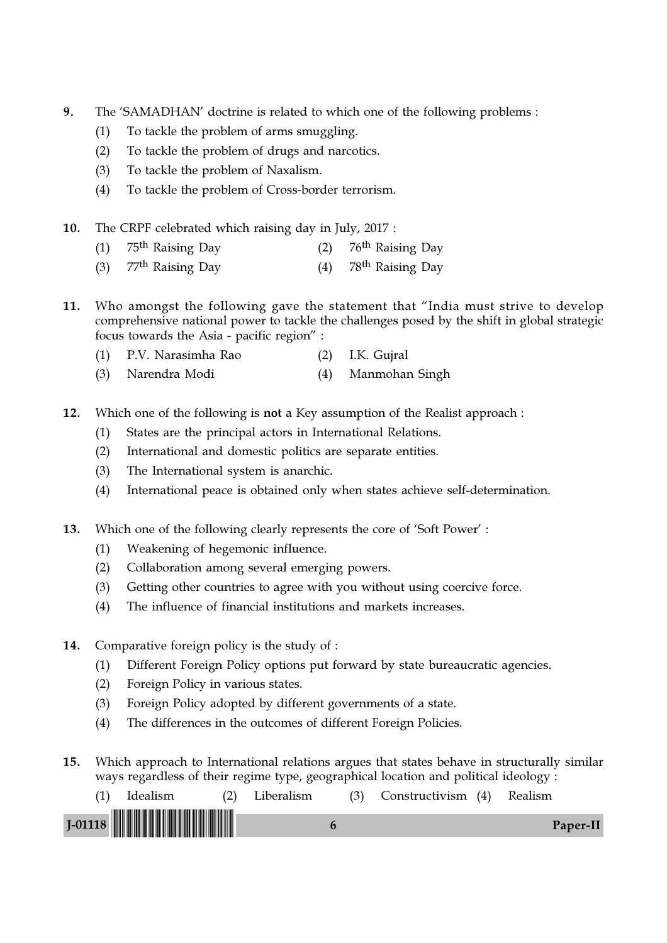- 9. The 'SAMADHAN' doctrine is related to which one of the following problems :
	- (1) To tackle the problem of arms smuggling.
	- (2) To tackle the problem of drugs and narcotics.
	- (3) To tackle the problem of Naxalism.
	- (4) To tackle the problem of Cross-border terrorism.
- 10. The CRPF celebrated which raising day in July, 2017 :
	- (1)  $75^{\text{th}}$  Raising Day (2)  $76^{\text{th}}$  Raising Day
	- (3)  $77<sup>th</sup>$  Raising Day (4)  $78<sup>th</sup>$  Raising Day
- 11. Who amongst the following gave the statement that "India must strive to develop comprehensive national power to tackle the challenges posed by the shift in global strategic focus towards the Asia - pacific region" :
	- (1) P.V. Narasimha Rao (2) I.K. Gujral (3) Narendra Modi (4) Manmohan Singh
	-
- 12. Which one of the following is not a Key assumption of the Realist approach :
	- (1) States are the principal actors in International Relations.
	- (2) International and domestic politics are separate entities.
	- (3) The International system is anarchic.
	- (4) International peace is obtained only when states achieve self-determination.
- 13. Which one of the following clearly represents the core of 'Soft Power' :
	- (1) Weakening of hegemonic influence.
	- (2) Collaboration among several emerging powers.
	- (3) Getting other countries to agree with you without using coercive force.
	- (4) The influence of financial institutions and markets increases.
- 14. Comparative foreign policy is the study of :
	- (1) Different Foreign Policy options put forward by state bureaucratic agencies.
	- (2) Foreign Policy in various states.
	- (3) Foreign Policy adopted by different governments of a state.
	- (4) The differences in the outcomes of different Foreign Policies.
- 15. Which approach to International relations argues that states behave in structurally similar ways regardless of their regime type, geographical location and political ideology :

| Idealism | (2) Liberalism | (3) Constructivism (4) Realism |          |
|----------|----------------|--------------------------------|----------|
|          |                |                                | Paper-II |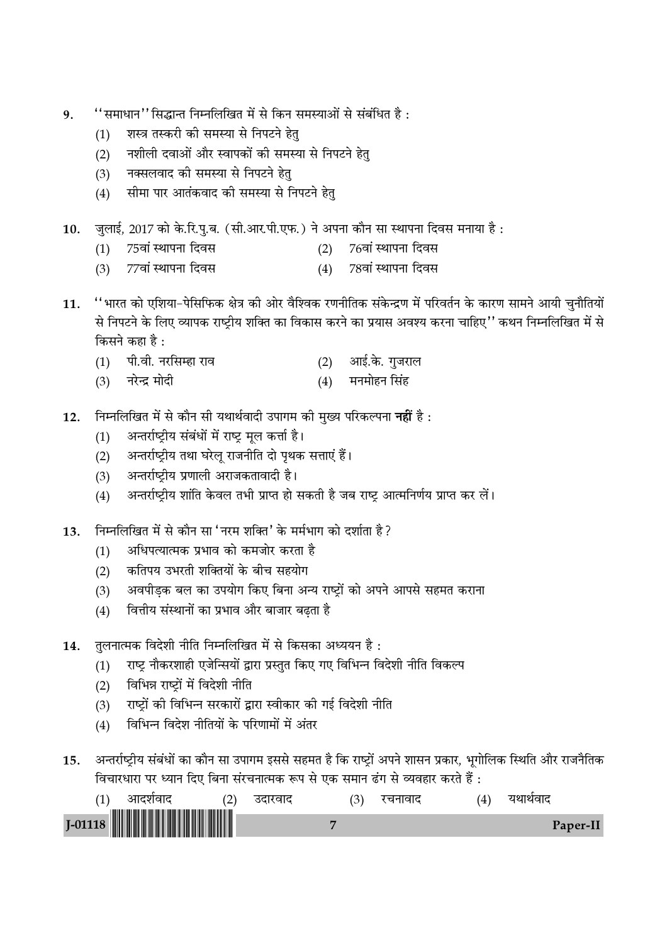- "समाधान" सिद्धान्त निम्नलिखित में से किन समस्याओं से संबंधित है: 9.
	- शस्त्र तस्करी की समस्या से निपटने हेतु  $(1)$
	- नशीली दवाओं और स्वापकों की समस्या से निपटने हेतु  $(2)$
	- नक्सलवाद की समस्या से निपटने हेत्  $(3)$
	- सीमा पार आतंकवाद की समस्या से निपटने हेत्  $(4)$

जुलाई, 2017 को के.रि.पु.ब. (सी.आर.पी.एफ.) ने अपना कौन सा स्थापना दिवस मनाया है: 10.

- 75वां स्थापना दिवस 76वां स्थापना दिवस  $(1)$  $(2)$
- 77वां स्थापना दिवस  $(3)$ 78वां स्थापना दिवस  $(4)$
- ''भारत को एशिया-पेसिफिक क्षेत्र की ओर वैश्विक रणनीतिक संकेन्द्रण में परिवर्तन के कारण सामने आयी चुनौतियों 11. से निपटने के लिए व्यापक राष्ट्रीय शक्ति का विकास करने का प्रयास अवश्य करना चाहिए'' कथन निम्नलिखित में से किसने कहा है:
	- (1) पी.वी. नरसिम्हा राव आई.के. गुजराल  $(2)$
	- मनमोहन सिंह  $(3)$ नरेन्द्र मोदी  $(4)$
- निम्नलिखित में से कौन सी यथार्थवादी उपागम की मुख्य परिकल्पना **नहीं** है :  $12.$ 
	- अन्तर्राष्ट्रीय संबंधों में राष्ट्र मूल कर्त्ता है।  $(1)$
	- अन्तर्राष्ट्रीय तथा घरेलू राजनीति दो पृथक सत्ताएं हैं।  $(2)$
	- अन्तर्राष्ट्रीय प्रणाली अराजकतावादी है।  $(3)$
	- अन्तर्राष्ट्रीय शांति केवल तभी प्राप्त हो सकती है जब राष्ट्र आत्मनिर्णय प्राप्त कर लें।  $(4)$
- निम्नलिखित में से कौन सा 'नरम शक्ति' के मर्मभाग को दर्शाता है ? 13.
	- अधिपत्यात्मक प्रभाव को कमजोर करता है  $(1)$
	- कतिपय उभरती शक्तियों के बीच सहयोग  $(2)$
	- अवपीड़क बल का उपयोग किए बिना अन्य राष्ट्रों को अपने आपसे सहमत कराना  $(3)$
	- वित्तीय संस्थानों का प्रभाव और बाजार बढ़ता है  $(4)$
- तुलनात्मक विदेशी नीति निम्नलिखित में से किसका अध्ययन है : 14.
	- राष्ट्र नौकरशाही एजेन्सियों द्वारा प्रस्तुत किए गए विभिन्न विदेशी नीति विकल्प  $(1)$
	- विभिन्न राष्ट्रों में विदेशी नीति  $(2)$
	- राष्ट्रों की विभिन्न सरकारों द्वारा स्वीकार की गई विदेशी नीति  $(3)$
	- विभिन्न विदेश नीतियों के परिणामों में अंतर  $(4)$
- अन्तर्राष्ट्रीय संबंधों का कौन सा उपागम इससे सहमत है कि राष्ट्रों अपने शासन प्रकार, भूगोलिक स्थिति और राजनैतिक 15. विचारधारा पर ध्यान दिए बिना संरचनात्मक रूप से एक समान ढंग से व्यवहार करते हैं :

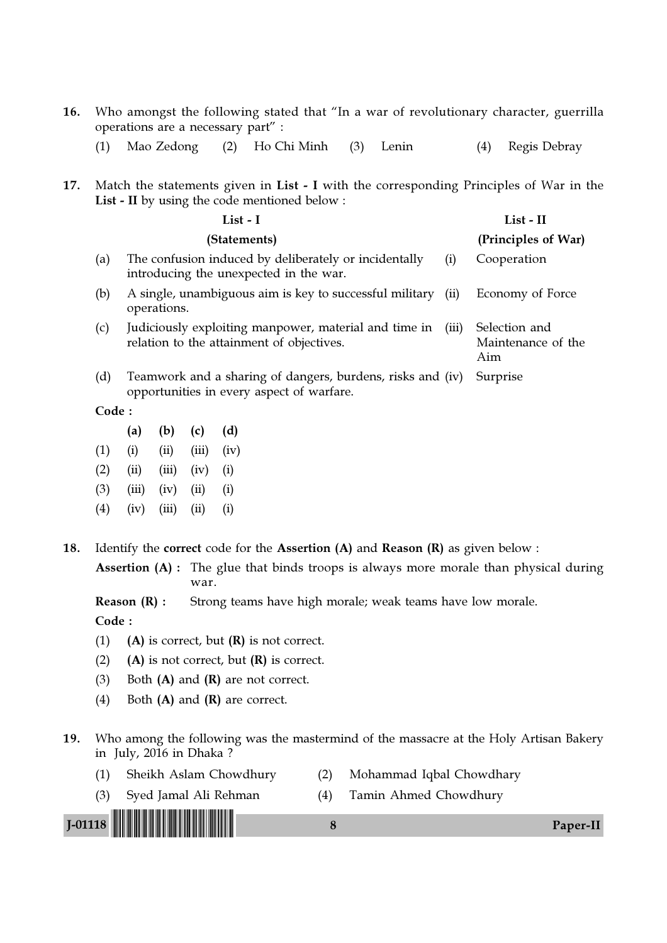- 16. Who amongst the following stated that "In a war of revolutionary character, guerrilla operations are a necessary part" :
	- (1) Mao Zedong (2) Ho Chi Minh (3) Lenin (4) Regis Debray
- 17. Match the statements given in List I with the corresponding Principles of War in the List - II by using the code mentioned below :

|       | List - I                                                                                                    | List - II                                  |
|-------|-------------------------------------------------------------------------------------------------------------|--------------------------------------------|
|       | (Statements)                                                                                                | (Principles of War)                        |
| (a)   | The confusion induced by deliberately or incidentally<br>(i)<br>introducing the unexpected in the war.      | Cooperation                                |
| (b)   | A single, unambiguous aim is key to successful military<br>(ii)<br>operations.                              | Economy of Force                           |
| (c)   | Judiciously exploiting manpower, material and time in<br>(iii)<br>relation to the attainment of objectives. | Selection and<br>Maintenance of the<br>Aim |
| (d)   | Teamwork and a sharing of dangers, burdens, risks and (iv)<br>opportunities in every aspect of warfare.     | Surprise                                   |
| Code: |                                                                                                             |                                            |

|                   | (a)   | (b)   | (c)                        | (d)  |
|-------------------|-------|-------|----------------------------|------|
| (1)               | (i)   | (ii)  | (iii)                      | (iv) |
| (2)               | (ii)  | (iii) | (iv)                       | (i)  |
| (3)               | (iii) | (iv)  | (ii)                       | (i)  |
| $\left( 4\right)$ | (iv)  | (iii) | $\left( \text{ii} \right)$ | (i)  |

18. Identify the correct code for the Assertion (A) and Reason (R) as given below :

Assertion (A) : The glue that binds troops is always more morale than physical during war.

**Reason (R) :** Strong teams have high morale; weak teams have low morale.

- (1) (A) is correct, but  $(R)$  is not correct.
- (2) (A) is not correct, but  $(R)$  is correct.
- (3) Both  $(A)$  and  $(R)$  are not correct.
- (4) Both (A) and (R) are correct.
- 19. Who among the following was the mastermind of the massacre at the Holy Artisan Bakery in July, 2016 in Dhaka ?
	- (1) Sheikh Aslam Chowdhury (2) Mohammad Iqbal Chowdhary
		-
	- (3) Syed Jamal Ali Rehman (4) Tamin Ahmed Chowdhury

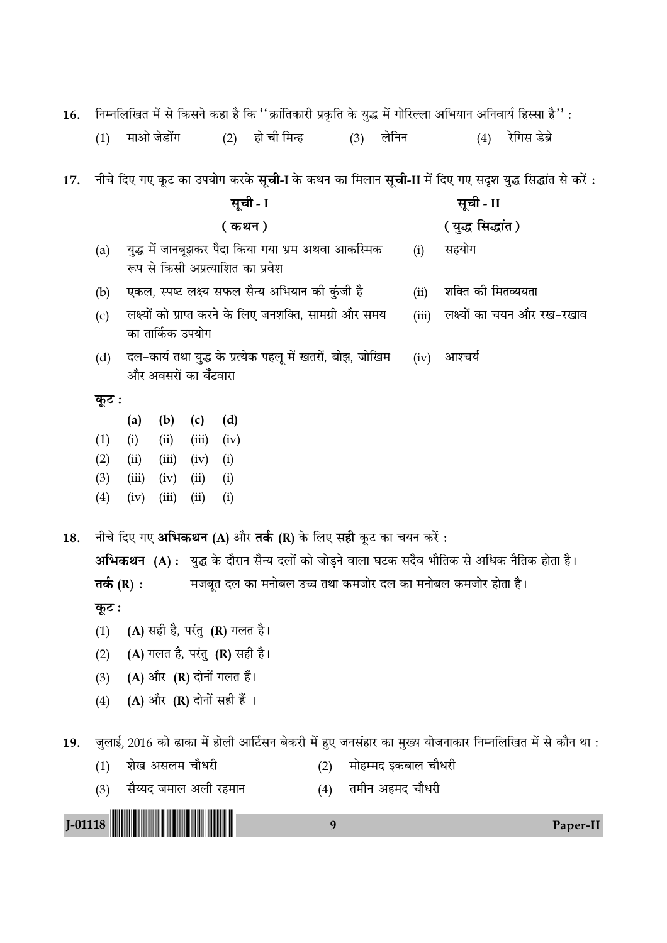| 16.       |                                                                                                             |                                                                             |                               |       |        |                                                                                         |     |     |                     |       |                    |     | निम्नलिखित में से किसने कहा है कि ''क्रांतिकारी प्रकृति के युद्ध में गोरिल्ला अभियान अनिवार्य हिस्सा है'' :         |
|-----------|-------------------------------------------------------------------------------------------------------------|-----------------------------------------------------------------------------|-------------------------------|-------|--------|-----------------------------------------------------------------------------------------|-----|-----|---------------------|-------|--------------------|-----|---------------------------------------------------------------------------------------------------------------------|
|           | (1)                                                                                                         |                                                                             | माओ जेडोंग                    |       | (2)    | हो ची मिन्ह                                                                             |     | (3) | लेनिन               |       |                    | (4) | रेगिस डेब्रे                                                                                                        |
| 17.       |                                                                                                             |                                                                             |                               |       |        |                                                                                         |     |     |                     |       |                    |     | नीचे दिए गए कूट का उपयोग करके <b>सूची-I</b> के कथन का मिलान <b>सूची-II</b> में दिए गए सदृश युद्ध सिद्धांत से करें : |
|           | सूची - I<br>सूची - II                                                                                       |                                                                             |                               |       |        |                                                                                         |     |     |                     |       |                    |     |                                                                                                                     |
|           |                                                                                                             |                                                                             |                               |       | ( कथन) |                                                                                         |     |     |                     |       | ( युद्ध सिद्धांत ) |     |                                                                                                                     |
|           | (a)                                                                                                         |                                                                             |                               |       |        | युद्ध में जानबूझकर पैदा किया गया भ्रम अथवा आकस्मिक<br>रूप से किसी अप्रत्याशित का प्रवेश |     |     |                     | (i)   | सहयोग              |     |                                                                                                                     |
|           | (b)                                                                                                         |                                                                             |                               |       |        | एकल, स्पष्ट लक्ष्य सफल सैन्य अभियान की कुंजी है                                         |     |     |                     | (ii)  | शक्ति की मितव्ययता |     |                                                                                                                     |
|           | (c)                                                                                                         | लक्ष्यों को प्राप्त करने के लिए जनशक्ति, सामग्री और समय<br>का तार्किक उपयोग |                               |       |        |                                                                                         |     |     |                     | (iii) |                    |     | लक्ष्यों का चयन और रख-रखाव                                                                                          |
|           | दल–कार्य तथा युद्ध के प्रत्येक पहलू में खतरों, बोझ, जोखिम<br>आश्चर्य<br>(d)<br>(iv)<br>और अवसरों का बँटवारा |                                                                             |                               |       |        |                                                                                         |     |     |                     |       |                    |     |                                                                                                                     |
|           | कूट :                                                                                                       |                                                                             |                               |       |        |                                                                                         |     |     |                     |       |                    |     |                                                                                                                     |
|           |                                                                                                             | (a)                                                                         | (b)                           | (c)   | (d)    |                                                                                         |     |     |                     |       |                    |     |                                                                                                                     |
|           | (1)                                                                                                         | (i)                                                                         | (ii)                          | (iii) | (iv)   |                                                                                         |     |     |                     |       |                    |     |                                                                                                                     |
|           | (2)                                                                                                         | (ii)                                                                        | (iii)                         | (iv)  | (i)    |                                                                                         |     |     |                     |       |                    |     |                                                                                                                     |
|           | (3)                                                                                                         | (iii)                                                                       | (iv)                          | (ii)  | (i)    |                                                                                         |     |     |                     |       |                    |     |                                                                                                                     |
|           | (4)                                                                                                         | (iv)                                                                        | (iii)                         | (ii)  | (i)    |                                                                                         |     |     |                     |       |                    |     |                                                                                                                     |
| 18.       |                                                                                                             |                                                                             |                               |       |        | नीचे दिए गए अभिकथन (A) और तर्क (R) के लिए सही कूट का चयन करें:                          |     |     |                     |       |                    |     |                                                                                                                     |
|           |                                                                                                             |                                                                             |                               |       |        |                                                                                         |     |     |                     |       |                    |     | अभिकथन (A): युद्ध के दौरान सैन्य दलों को जोड़ने वाला घटक सदैव भौतिक से अधिक नैतिक होता है।                          |
|           | तर्क (R) :                                                                                                  |                                                                             |                               |       |        | मजबूत दल का मनोबल उच्च तथा कमजोर दल का मनोबल कमजोर होता है।                             |     |     |                     |       |                    |     |                                                                                                                     |
|           | कूट ः                                                                                                       |                                                                             |                               |       |        |                                                                                         |     |     |                     |       |                    |     |                                                                                                                     |
|           | (1)                                                                                                         |                                                                             | (A) सही है, परंतु (R) गलत है। |       |        |                                                                                         |     |     |                     |       |                    |     |                                                                                                                     |
|           | (2)                                                                                                         |                                                                             | (A) गलत है, परंतु (R) सही है। |       |        |                                                                                         |     |     |                     |       |                    |     |                                                                                                                     |
|           | (3)                                                                                                         |                                                                             | (A) और (R) दोनों गलत हैं।     |       |        |                                                                                         |     |     |                     |       |                    |     |                                                                                                                     |
|           | (4)                                                                                                         |                                                                             | (A) और (R) दोनों सही हैं ।    |       |        |                                                                                         |     |     |                     |       |                    |     |                                                                                                                     |
| 19.       |                                                                                                             |                                                                             |                               |       |        |                                                                                         |     |     |                     |       |                    |     | जुलाई, 2016 को ढाका में होली आर्टिसन बेकरी में हुए जनसंहार का मुख्य योजनाकार निम्नलिखित में से कौन था :             |
|           | (1)                                                                                                         |                                                                             | शेख असलम चौधरी                |       |        |                                                                                         | (2) |     | मोहम्मद इकबाल चौधरी |       |                    |     |                                                                                                                     |
|           | (3)                                                                                                         |                                                                             | सैय्यद जमाल अली रहमान         |       |        |                                                                                         | (4) |     | तमीन अहमद चौधरी     |       |                    |     |                                                                                                                     |
|           |                                                                                                             |                                                                             |                               |       |        |                                                                                         |     |     |                     |       |                    |     |                                                                                                                     |
| $J-01118$ |                                                                                                             |                                                                             |                               |       |        |                                                                                         | 9   |     |                     |       |                    |     | Paper-II                                                                                                            |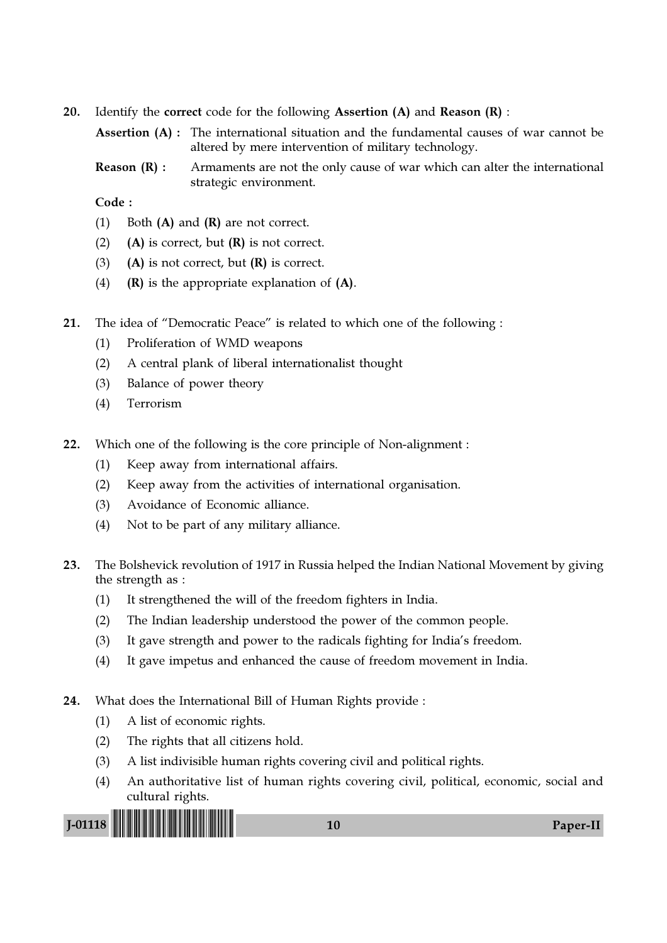20. Identify the correct code for the following Assertion  $(A)$  and Reason  $(R)$ :

Assertion (A) : The international situation and the fundamental causes of war cannot be altered by mere intervention of military technology.

**Reason (R) :** Armaments are not the only cause of war which can alter the international strategic environment.

Code :

- (1) Both  $(A)$  and  $(R)$  are not correct.
- (2) (A) is correct, but  $(R)$  is not correct.
- (3) (A) is not correct, but  $(R)$  is correct.
- (4)  $(R)$  is the appropriate explanation of  $(A)$ .
- 21. The idea of "Democratic Peace" is related to which one of the following :
	- (1) Proliferation of WMD weapons
	- (2) A central plank of liberal internationalist thought
	- (3) Balance of power theory
	- (4) Terrorism
- 22. Which one of the following is the core principle of Non-alignment :
	- (1) Keep away from international affairs.
	- (2) Keep away from the activities of international organisation.
	- (3) Avoidance of Economic alliance.
	- (4) Not to be part of any military alliance.
- 23. The Bolshevick revolution of 1917 in Russia helped the Indian National Movement by giving the strength as :
	- (1) It strengthened the will of the freedom fighters in India.
	- (2) The Indian leadership understood the power of the common people.
	- (3) It gave strength and power to the radicals fighting for India's freedom.
	- (4) It gave impetus and enhanced the cause of freedom movement in India.
- 24. What does the International Bill of Human Rights provide :
	- (1) A list of economic rights.
	- (2) The rights that all citizens hold.
	- (3) A list indivisible human rights covering civil and political rights.
	- (4) An authoritative list of human rights covering civil, political, economic, social and cultural rights.

J-01118 !J-01118-PAPER-II! <sup>10</sup> Paper-II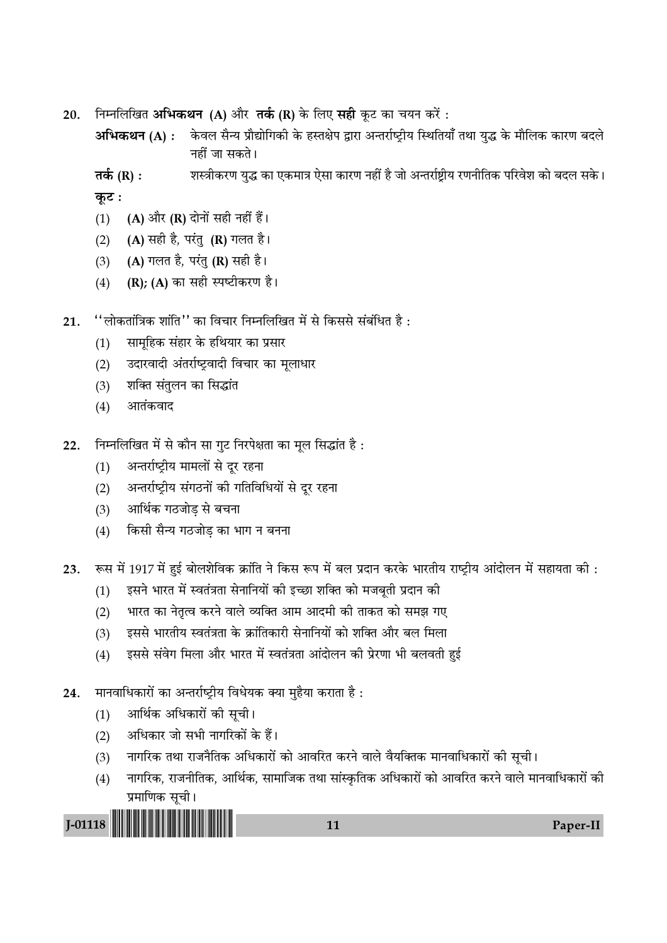ीनम्नलिखित **अभिकथन (A)** और **तर्क (R)** के लिए **सही** कूट का चयन करें : 20.

अभिकथन (A) : केवल सैन्य प्रौद्योगिकी के हस्तक्षेप द्वारा अन्तर्राष्ट्रीय स्थितियाँ तथा युद्ध के मौलिक कारण बदले नहीं जा सकते।

शस्त्रीकरण युद्ध का एकमात्र ऐसा कारण नहीं है जो अन्तर्राष्ट्रीय रणनीतिक परिवेश को बदल सके। तर्क  $(R)$  : कूट:

- (A) और (R) दोनों सही नहीं हैं।  $(1)$
- (A) सही है, परंतु (R) गलत है।  $(2)$
- (A) गलत है, परंतु (R) सही है।  $(3)$
- (R); (A) का सही स्पष्टीकरण है।  $(4)$
- ''लोकतांत्रिक शांति'' का विचार निम्नलिखित में से किससे संबंधित है : 21.
	- सामहिक संहार के हथियार का प्रसार  $(1)$
	- उदारवादी अंतर्राष्ट्रवादी विचार का मूलाधार  $(2)$
	- शक्ति संतुलन का सिद्धांत  $(3)$
	- आतंकवाद  $(4)$
- निम्नलिखित में से कौन सा गुट निरपेक्षता का मूल सिद्धांत है:  $22.$ 
	- अन्तर्राष्ट्रीय मामलों से दूर रहना  $(1)$
	- अन्तर्राष्ट्रीय संगठनों की गतिविधियों से दूर रहना  $(2)$
	- आर्थिक गठजोड से बचना  $(3)$
	- किसी सैन्य गठजोड़ का भाग न बनना  $(4)$
- रूस में 1917 में हुई बोलशेविक क्रांति ने किस रूप में बल प्रदान करके भारतीय राष्ट्रीय आंदोलन में सहायता की : 23.
	- इसने भारत में स्वतंत्रता सेनानियों की इच्छा शक्ति को मजबूती प्रदान की  $(1)$
	- भारत का नेतृत्व करने वाले व्यक्ति आम आदमी की ताकत को समझ गए  $(2)$
	- इससे भारतीय स्वतंत्रता के क्रांतिकारी सेनानियों को शक्ति और बल मिला  $(3)$
	- इससे संवेग मिला और भारत में स्वतंत्रता आंदोलन की प्रेरणा भी बलवती हुई  $(4)$
- मानवाधिकारों का अन्तर्राष्ट्रीय विधेयक क्या मुहैया कराता है: 24.
	- आर्थिक अधिकारों की सूची।  $(1)$
	- अधिकार जो सभी नागरिकों के हैं।  $(2)$
	- नागरिक तथा राजनैतिक अधिकारों को आवरित करने वाले वैयक्तिक मानवाधिकारों की सूची।  $(3)$
	- नागरिक, राजनीतिक, आर्थिक, सामाजिक तथा सांस्कृतिक अधिकारों को आवरित करने वाले मानवाधिकारों की  $(4)$ प्रमाणिक सूची।

 $J-01118$ 

11

Paper-II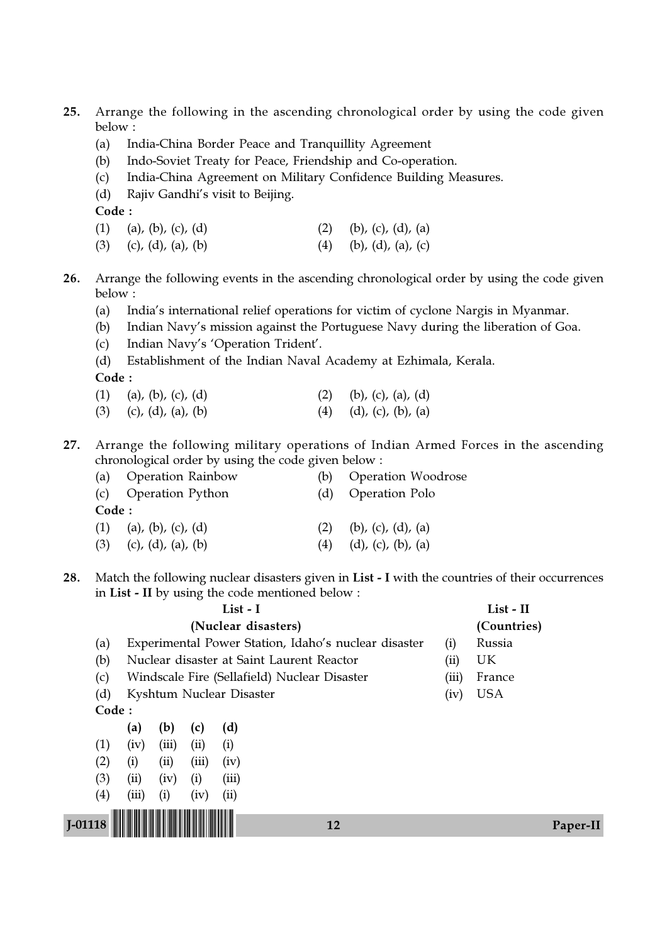- 25. Arrange the following in the ascending chronological order by using the code given below :
	- (a) India-China Border Peace and Tranquillity Agreement
	- (b) Indo-Soviet Treaty for Peace, Friendship and Co-operation.
	- (c) India-China Agreement on Military Confidence Building Measures.
	- (d) Rajiv Gandhi's visit to Beijing.

Code :

- (1) (a), (b), (c), (d) (2) (b), (c), (d), (a)
- (3) (c), (d), (a), (b) (4) (b), (d), (a), (c)
- 26. Arrange the following events in the ascending chronological order by using the code given below :
	- (a) India's international relief operations for victim of cyclone Nargis in Myanmar.
	- (b) Indian Navy's mission against the Portuguese Navy during the liberation of Goa.
	- (c) Indian Navy's 'Operation Trident'.
	- (d) Establishment of the Indian Naval Academy at Ezhimala, Kerala.

Code :

- (1) (a), (b), (c), (d) (2) (b), (c), (a), (d)
- (3) (c), (d), (a), (b) (4) (d), (c), (b), (a)
- 27. Arrange the following military operations of Indian Armed Forces in the ascending chronological order by using the code given below :

|       | (a) Operation Rainbow      | (b) | <b>Operation Woodrose</b>     |
|-------|----------------------------|-----|-------------------------------|
|       | (c) Operation Python       | (d) | <b>Operation Polo</b>         |
| Code: |                            |     |                               |
|       | $(1)$ (a), (b), (c), (d)   | (2) | (b), (c), (d), (a)            |
| (3)   | (c), $(d)$ , $(a)$ , $(b)$ | (4) | $(d)$ , $(c)$ , $(b)$ , $(a)$ |

28. Match the following nuclear disasters given in List - I with the countries of their occurrences in List - II by using the code mentioned below :

|                          |                                                                |       |       |    |                                                                                                                                                                                      | (Countries) |           |  |
|--------------------------|----------------------------------------------------------------|-------|-------|----|--------------------------------------------------------------------------------------------------------------------------------------------------------------------------------------|-------------|-----------|--|
|                          |                                                                |       |       |    | (i)                                                                                                                                                                                  | Russia      |           |  |
|                          |                                                                |       |       |    | (ii)                                                                                                                                                                                 | UK          |           |  |
|                          |                                                                |       |       |    | (iii)                                                                                                                                                                                | France      |           |  |
|                          | Kyshtum Nuclear Disaster                                       |       |       |    |                                                                                                                                                                                      | <b>USA</b>  |           |  |
|                          |                                                                |       |       |    |                                                                                                                                                                                      |             |           |  |
| (a)                      | (b)                                                            | (c)   | (d)   |    |                                                                                                                                                                                      |             |           |  |
| (iv)                     | (iii)                                                          | (ii)  | (i)   |    |                                                                                                                                                                                      |             |           |  |
| (i)                      | (ii)                                                           | (iii) | (iv)  |    |                                                                                                                                                                                      |             |           |  |
| (ii)                     | (iv)                                                           | (i)   | (iii) |    |                                                                                                                                                                                      |             |           |  |
| (iii)                    | (i)                                                            | (iv)  | (ii)  |    |                                                                                                                                                                                      |             |           |  |
|                          |                                                                |       |       |    |                                                                                                                                                                                      |             |           |  |
|                          |                                                                |       |       | 12 |                                                                                                                                                                                      |             | Paper-II  |  |
| (c)<br>$\left( 4\right)$ | (a)<br>(b)<br>(d)<br>Code:<br>(1)<br>(2)<br>(3)<br>$J - 01118$ |       |       |    | List - I<br>(Nuclear disasters)<br>Experimental Power Station, Idaho's nuclear disaster<br>Nuclear disaster at Saint Laurent Reactor<br>Windscale Fire (Sellafield) Nuclear Disaster | (iv)        | List - II |  |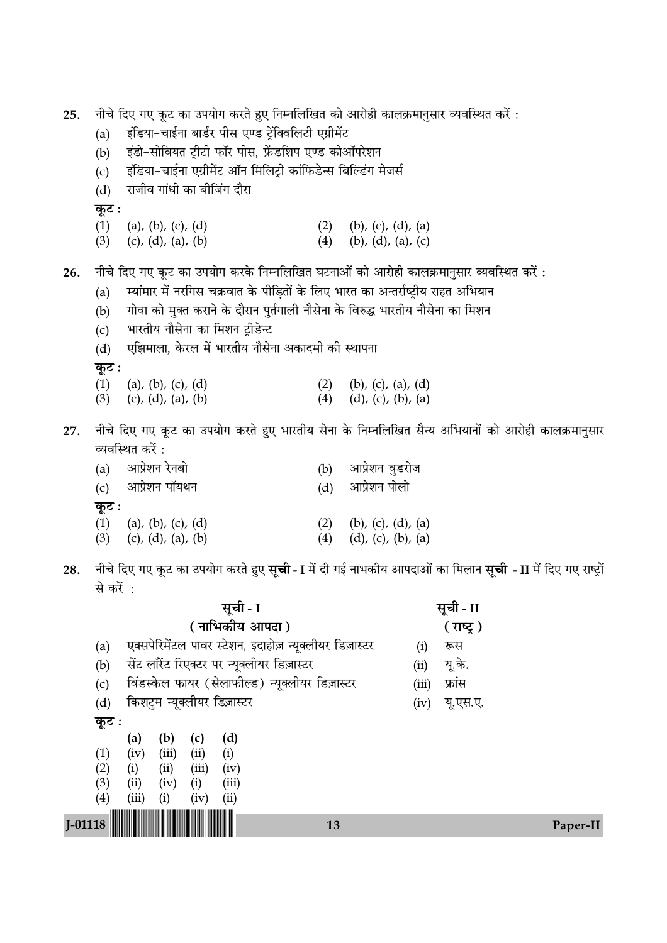| $J-01118$ |                                                                                     |                                                                                                                                                          | 13  | Paper-II                                                                                                                 |  |  |  |  |  |
|-----------|-------------------------------------------------------------------------------------|----------------------------------------------------------------------------------------------------------------------------------------------------------|-----|--------------------------------------------------------------------------------------------------------------------------|--|--|--|--|--|
|           | (1)<br>(2)<br>(3)<br>(4)                                                            | (b)<br>(d)<br>(a)<br>(c)<br>(iii)<br>(iv)<br>(i)<br>(ii)<br>(iii)<br>(iv)<br>(i)<br>(ii)<br>(ii)<br>(iv)<br>(i)<br>(iii)<br>(iii)<br>(iv)<br>(i)<br>(ii) |     |                                                                                                                          |  |  |  |  |  |
|           | कूट :                                                                               |                                                                                                                                                          |     |                                                                                                                          |  |  |  |  |  |
|           | (d)                                                                                 | किशटुम न्यूक्लीयर डिज़ास्टर                                                                                                                              |     | यू.एस.ए.<br>(iv)                                                                                                         |  |  |  |  |  |
|           | (c)                                                                                 | विंडस्केल फायर (सेलाफील्ड) न्यूक्लीयर डिज़ास्टर                                                                                                          |     | फ्रांस<br>(iii)                                                                                                          |  |  |  |  |  |
|           | (a)<br>(b)                                                                          | सेंट लॉरेंट रिएक्टर पर न्यूक्लीयर डिज़ास्टर                                                                                                              |     | रूस<br>(i)<br>यू.के.<br>(ii)                                                                                             |  |  |  |  |  |
|           |                                                                                     | ( नाभिकीय आपदा )<br>एक्सपेरिमेंटल पावर स्टेशन, इदाहोज़ न्यूक्लीयर डिज़ास्टर                                                                              |     | ( राष्ट्र)                                                                                                               |  |  |  |  |  |
|           |                                                                                     | सूची - I                                                                                                                                                 |     | सूची - II                                                                                                                |  |  |  |  |  |
|           | से करें :                                                                           |                                                                                                                                                          |     |                                                                                                                          |  |  |  |  |  |
| 28.       |                                                                                     |                                                                                                                                                          |     | नीचे दिए गए कूट का उपयोग करते हुए <b>सूची - I</b> में दी गई नाभकीय आपदाओं का मिलान <b>सूची - II</b> में दिए गए राष्ट्रों |  |  |  |  |  |
|           | (3)                                                                                 | (c), (d), (a), (b)                                                                                                                                       | (4) | $(d)$ , $(c)$ , $(b)$ , $(a)$                                                                                            |  |  |  |  |  |
|           | कूट :<br>(1)                                                                        | (a), (b), (c), (d)                                                                                                                                       | (2) | (b), (c), (d), (a)                                                                                                       |  |  |  |  |  |
|           |                                                                                     | (c) आप्रेशन पॉयथन                                                                                                                                        | (d) | आप्रेशन पोलो                                                                                                             |  |  |  |  |  |
|           | (a)                                                                                 | आप्रेशन रेनबो                                                                                                                                            | (b) | आप्रेशन वुडरोज                                                                                                           |  |  |  |  |  |
|           |                                                                                     | व्यवस्थित करें :                                                                                                                                         |     |                                                                                                                          |  |  |  |  |  |
| 27.       |                                                                                     |                                                                                                                                                          |     | नीचे दिए गए कूट का उपयोग करते हुए भारतीय सेना के निम्नलिखित सैन्य अभियानों को आरोही कालक्रमानुसार                        |  |  |  |  |  |
|           | (3)                                                                                 | (c), (d), (a), (b)                                                                                                                                       | (4) | $(d)$ , $(c)$ , $(b)$ , $(a)$                                                                                            |  |  |  |  |  |
|           | (1)                                                                                 | (a), (b), (c), (d)                                                                                                                                       |     | $(2)$ (b), (c), (a), (d)                                                                                                 |  |  |  |  |  |
|           | कूट :                                                                               |                                                                                                                                                          |     |                                                                                                                          |  |  |  |  |  |
|           | (d)                                                                                 | एझिमाला, केरल में भारतीय नौसेना अकादमी की स्थापना                                                                                                        |     |                                                                                                                          |  |  |  |  |  |
|           | (c)                                                                                 | भारतीय नौसेना का मिशन ट्रीडेन्ट                                                                                                                          |     |                                                                                                                          |  |  |  |  |  |
|           | (a)<br>(b)                                                                          | गोवा को मुक्त कराने के दौरान पुर्तगाली नौसेना के विरुद्ध भारतीय नौसेना का मिशन                                                                           |     |                                                                                                                          |  |  |  |  |  |
| 26.       |                                                                                     | म्यांमार में नरगिस चक्रवात के पीड़ितों के लिए भारत का अन्तर्राष्ट्रीय राहत अभियान                                                                        |     | नीचे दिए गए कूट का उपयोग करके निम्नलिखित घटनाओं को आरोही कालक्रमानुसार व्यवस्थित करें :                                  |  |  |  |  |  |
|           |                                                                                     |                                                                                                                                                          |     |                                                                                                                          |  |  |  |  |  |
|           | (1)<br>(3)                                                                          | (a), (b), (c), (d)<br>(c), (d), (a), (b)                                                                                                                 | (4) | $(2)$ (b), (c), (d), (a)<br>(b), (d), (a), (c)                                                                           |  |  |  |  |  |
|           | कूट :                                                                               |                                                                                                                                                          |     |                                                                                                                          |  |  |  |  |  |
|           | राजीव गांधी का बीजिंग दौरा<br>(d)                                                   |                                                                                                                                                          |     |                                                                                                                          |  |  |  |  |  |
|           | इंडिया-चाईना एग्रीमेंट ऑन मिलिट्री कांफिडेन्स बिल्डिंग मेजर्स<br>(c)                |                                                                                                                                                          |     |                                                                                                                          |  |  |  |  |  |
|           | इंडो-सोवियत ट्रीटी फॉर पीस, फ्रेंडशिप एण्ड कोऑपरेशन<br>(b)                          |                                                                                                                                                          |     |                                                                                                                          |  |  |  |  |  |
|           | इंडिया-चाईना बार्डर पीस एण्ड ट्रेंक्विलिटी एग्रीमेंट<br>(a)                         |                                                                                                                                                          |     |                                                                                                                          |  |  |  |  |  |
| 25.       | नीचे दिए गए कूट का उपयोग करते हुए निम्नलिखित को आरोही कालक्रमानुसार व्यवस्थित करें: |                                                                                                                                                          |     |                                                                                                                          |  |  |  |  |  |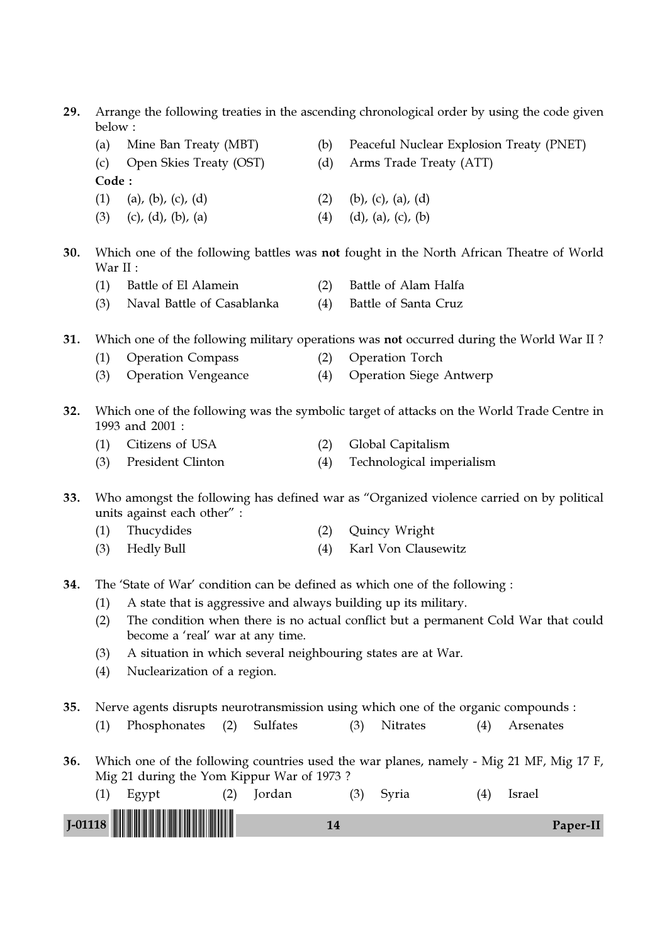29. Arrange the following treaties in the ascending chronological order by using the code given below :

- (a) Mine Ban Treaty (MBT) (b) Peaceful Nuclear Explosion Treaty (PNET) (c) Open Skies Treaty (OST) (d) Arms Trade Treaty (ATT) Code : (1) (a), (b), (c), (d) (2) (b), (c), (a), (d)
- (3) (c), (d), (b), (a) (4) (d), (a), (c), (b)
- 30. Which one of the following battles was not fought in the North African Theatre of World War II :
	- (1) Battle of El Alamein (2) Battle of Alam Halfa
	- (3) Naval Battle of Casablanka (4) Battle of Santa Cruz

31. Which one of the following military operations was not occurred during the World War II ?

- (1) Operation Compass (2) Operation Torch
- (3) Operation Vengeance (4) Operation Siege Antwerp
- 32. Which one of the following was the symbolic target of attacks on the World Trade Centre in 1993 and 2001 :
	- (1) Citizens of USA (2) Global Capitalism
	- (3) President Clinton (4) Technological imperialism
- 33. Who amongst the following has defined war as "Organized violence carried on by political units against each other" :
	- (1) Thucydides (2) Quincy Wright
	- (3) Hedly Bull (4) Karl Von Clausewitz
- 34. The 'State of War' condition can be defined as which one of the following :
	- (1) A state that is aggressive and always building up its military.
	- (2) The condition when there is no actual conflict but a permanent Cold War that could become a 'real' war at any time.
	- (3) A situation in which several neighbouring states are at War.
	- (4) Nuclearization of a region.
- 35. Nerve agents disrupts neurotransmission using which one of the organic compounds :
	- (1) Phosphonates (2) Sulfates (3) Nitrates (4) Arsenates
- 36. Which one of the following countries used the war planes, namely Mig 21 MF, Mig 17 F, Mig 21 during the Yom Kippur War of 1973 ?

| tordan | Svria | 'sraeı   |
|--------|-------|----------|
|        |       | Paper-II |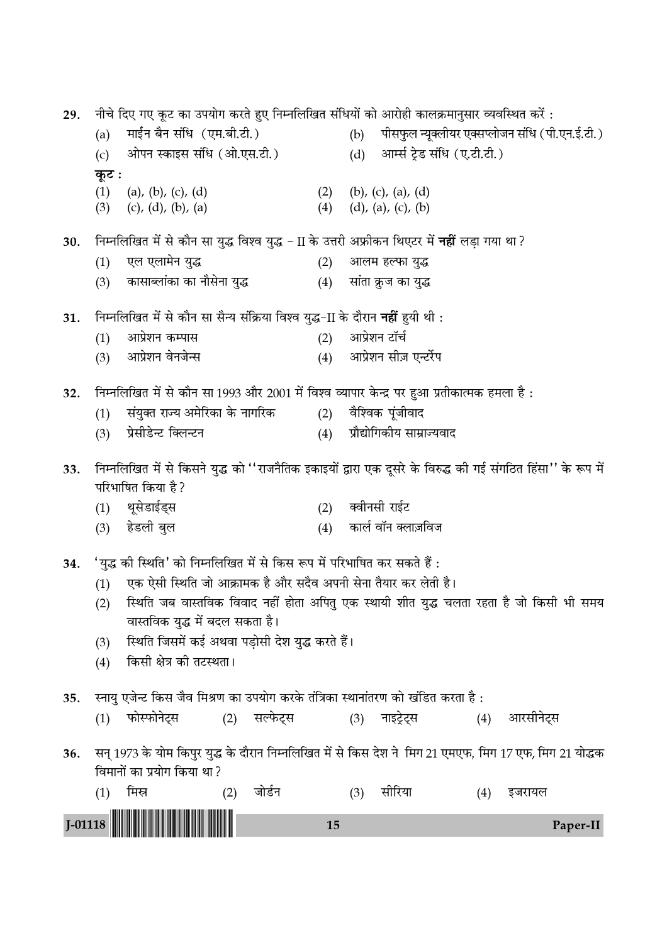नीचे दिए गए कूट का उपयोग करते हुए निम्नलिखित संधियों को आरोही कालक्रमानुसार व्यवस्थित करें : 29. माईन बैन संधि (एम.बी.टी.) पीसफुल न्यूक्लीयर एक्सप्लोजन संधि (पी.एन.ई.टी.)  $(a)$  $(b)$ ओपन स्काइस संधि (ओ.एस.टी.) आर्म्स टेड संधि (ए.टी.टी.)  $(c)$  $(d)$ कुट :  $(1)$ (b), (c), (a), (d) (a), (b), (c), (d)  $(2)$  $(3)$  $(c)$ ,  $(d)$ ,  $(b)$ ,  $(a)$  $(4)$  $(d)$ ,  $(a)$ ,  $(c)$ ,  $(b)$ निम्नलिखित में से कौन सा युद्ध विश्व युद्ध - II के उत्तरी अफ्रीकन थिएटर में **नहीं** लड़ा गया था? 30.  $(1)$ एल एलामेन युद्ध  $(2)$ आलम हल्फा युद्ध कासाब्लांका का नौसेना युद्ध  $(3)$  $(4)$ सांता क्रूज का युद्ध निम्नलिखित में से कौन सा सैन्य संक्रिया विश्व युद्ध-II के दौरान **नहीं** हुयी थी : 31.  $(1)$ आप्रेशन कम्पास  $(2)$ आप्रेशन टॉर्च आप्रेशन वेनजेन्स आप्रेशन सीज़ एन्टर्रेप  $(3)$  $(4)$ निम्नलिखित में से कौन सा 1993 और 2001 में विश्व व्यापार केन्द्र पर हुआ प्रतीकात्मक हमला है: 32. संयक्त राज्य अमेरिका के नागरिक  $(2)$ वैश्विक पंजीवाद  $(1)$ प्रेसीडेन्ट क्लिन्टन प्रौद्योगिकीय साम्राज्यवाद  $(3)$  $(4)$ निम्नलिखित में से किसने युद्ध को ''राजनैतिक इकाइयों द्वारा एक दूसरे के विरुद्ध की गई संगठित हिंसा'' के रूप में 33. परिभाषित किया है ?  $(1)$ थूसेडाईड्स  $(2)$ क्वीनसी राईट हेडली बुल कार्ल वॉन क्लाज़विज  $(3)$  $(4)$ 'युद्ध की स्थिति' को निम्नलिखित में से किस रूप में परिभाषित कर सकते हैं : 34. एक ऐसी स्थिति जो आक्रामक है और सदैव अपनी सेना तैयार कर लेती है।  $(1)$ स्थिति जब वास्तविक विवाद नहीं होता अपितु एक स्थायी शीत युद्ध चलता रहता है जो किसी भी समय  $(2)$ वास्तविक युद्ध में बदल सकता है। स्थिति जिसमें कई अथवा पड़ोसी देश युद्ध करते हैं।  $(3)$ किसी क्षेत्र की तटस्थता।  $(4)$ स्नायु एजेन्ट किस जैव मिश्रण का उपयोग करके तंत्रिका स्थानांतरण को खंडित करता है: 35. फोस्फोनेटस (2) सल्फेटस (3) नाइट्रेट्स (4) आरसीनेटस  $(1)$ सन् 1973 के योम किपुर युद्ध के दौरान निम्नलिखित में से किस देश ने मिग 21 एमएफ, मिग 17 एफ, मिग 21 योद्धक 36. विमानों का प्रयोग किया था? मिस्र सीरिया  $(1)$ जोर्डन  $(3)$  $(2)$ (4) इजरायल  $J-01118$ 15 Paper-II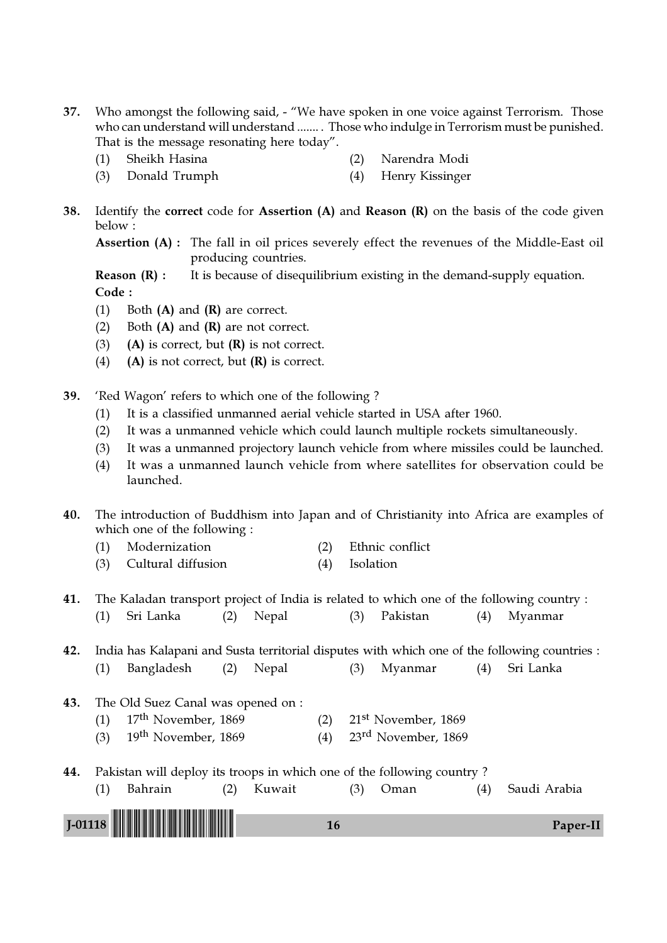- 37. Who amongst the following said, "We have spoken in one voice against Terrorism. Those who can understand will understand ....... . Those who indulge in Terrorism must be punished. That is the message resonating here today".
	- (1) Sheikh Hasina (2) Narendra Modi
		-
	- (3) Donald Trumph (4) Henry Kissinger
- 38. Identify the correct code for Assertion (A) and Reason (R) on the basis of the code given below :

Assertion (A) : The fall in oil prices severely effect the revenues of the Middle-East oil producing countries.

**Reason**  $(R)$ **:** It is because of disequilibrium existing in the demand-supply equation. Code :

- (1) Both  $(A)$  and  $(R)$  are correct.
- (2) Both  $(A)$  and  $(R)$  are not correct.
- (3) (A) is correct, but  $(R)$  is not correct.
- (4) (A) is not correct, but  $(R)$  is correct.
- 39. 'Red Wagon' refers to which one of the following ?
	- (1) It is a classified unmanned aerial vehicle started in USA after 1960.
	- (2) It was a unmanned vehicle which could launch multiple rockets simultaneously.
	- (3) It was a unmanned projectory launch vehicle from where missiles could be launched.
	- (4) It was a unmanned launch vehicle from where satellites for observation could be launched.

40. The introduction of Buddhism into Japan and of Christianity into Africa are examples of which one of the following :

- (1) Modernization (2) Ethnic conflict
- (3) Cultural diffusion (4) Isolation

41. The Kaladan transport project of India is related to which one of the following country : (1) Sri Lanka (2) Nepal (3) Pakistan (4) Myanmar

42. India has Kalapani and Susta territorial disputes with which one of the following countries :

(1) Bangladesh (2) Nepal (3) Myanmar (4) Sri Lanka

- 43. The Old Suez Canal was opened on : (1) 17th November, 1869 (2) 21st November, 1869 (3)  $19^{th}$  November, 1869 (4)  $23^{rd}$  November, 1869
- 44. Pakistan will deploy its troops in which one of the following country ?



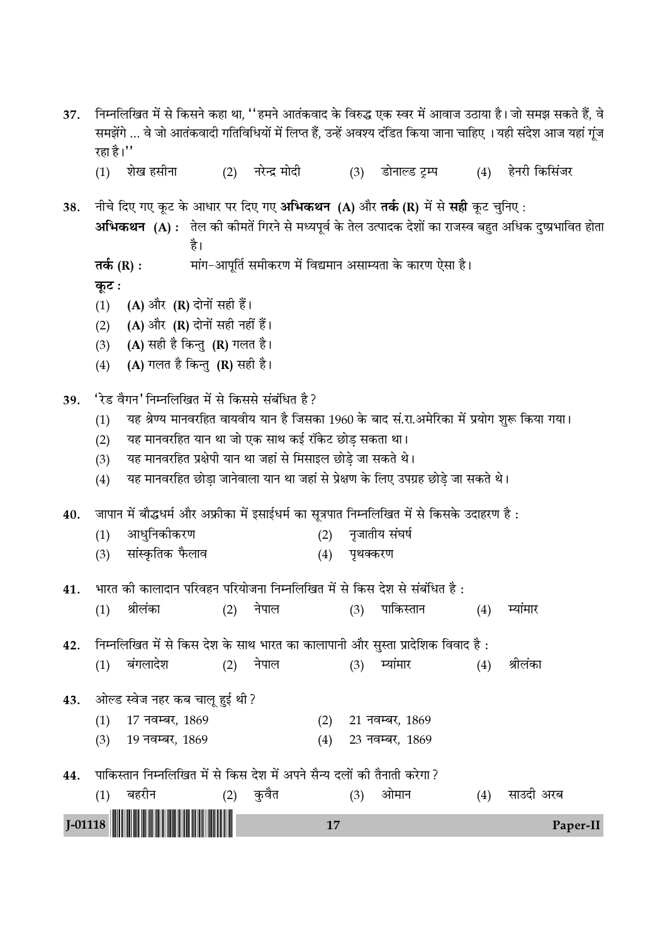| 37. | रहा है।''                                                                                                                                                                                                                                                                                                                                                                               |                                                                                                             |  |                   |     |          |                                       |     | निम्नलिखित में से किसने कहा था, ''हमने आतंकवाद के विरुद्ध एक स्वर में आवाज उठाया है। जो समझ सकते हैं, वे<br>समझेंगे  वे जो आतंकवादी गतिविधियों में लिप्त हैं, उन्हें अवश्य दंडित किया जाना चाहिए । यही संदेश आज यहां गूंज |  |
|-----|-----------------------------------------------------------------------------------------------------------------------------------------------------------------------------------------------------------------------------------------------------------------------------------------------------------------------------------------------------------------------------------------|-------------------------------------------------------------------------------------------------------------|--|-------------------|-----|----------|---------------------------------------|-----|---------------------------------------------------------------------------------------------------------------------------------------------------------------------------------------------------------------------------|--|
|     | (1)                                                                                                                                                                                                                                                                                                                                                                                     | शेख हसीना                                                                                                   |  | (2) नरेन्द्र मोदी |     | (3)      | डोनाल्ड ट्रम्प                        | (4) | हेनरी किसिंजर                                                                                                                                                                                                             |  |
| 38. |                                                                                                                                                                                                                                                                                                                                                                                         | नीचे दिए गए कूट के आधार पर दिए गए <b>अभिकथन (A)</b> और <b>तर्क (R)</b> में से <b>सही</b> कूट चुनिए :<br>है। |  |                   |     |          |                                       |     | अभिकथन (A) : तेल की कीमतें गिरने से मध्यपूर्व के तेल उत्पादक देशों का राजस्व बहुत अधिक दुष्प्रभावित होता                                                                                                                  |  |
|     | मांग–आपूर्ति समीकरण में विद्यमान असाम्यता के कारण ऐसा है।<br>तर्क $(R)$ :<br>कूट :                                                                                                                                                                                                                                                                                                      |                                                                                                             |  |                   |     |          |                                       |     |                                                                                                                                                                                                                           |  |
|     | (1)                                                                                                                                                                                                                                                                                                                                                                                     | (A) और (R) दोनों सही हैं।                                                                                   |  |                   |     |          |                                       |     |                                                                                                                                                                                                                           |  |
|     | (2)                                                                                                                                                                                                                                                                                                                                                                                     | (A) और (R) दोनों सही नहीं हैं।                                                                              |  |                   |     |          |                                       |     |                                                                                                                                                                                                                           |  |
|     | (3)                                                                                                                                                                                                                                                                                                                                                                                     | (A) सही है किन्तु (R) गलत है।                                                                               |  |                   |     |          |                                       |     |                                                                                                                                                                                                                           |  |
|     | (4)                                                                                                                                                                                                                                                                                                                                                                                     | (A) गलत है किन्तु (R) सही है।                                                                               |  |                   |     |          |                                       |     |                                                                                                                                                                                                                           |  |
| 39. | 'रेड वैगन' निम्नलिखित में से किससे संबंधित है?<br>यह श्रेण्य मानवरहित वायवीय यान है जिसका 1960 के बाद सं.रा.अमेरिका में प्रयोग शुरू किया गया।<br>(1)<br>यह मानवरहित यान था जो एक साथ कई रॉकेट छोड़ सकता था।<br>(2)<br>यह मानवरहित प्रक्षेपी यान था जहां से मिसाइल छोड़े जा सकते थे।<br>(3)<br>यह मानवरहित छोड़ा जानेवाला यान था जहां से प्रेक्षण के लिए उपग्रह छोड़े जा सकते थे।<br>(4) |                                                                                                             |  |                   |     |          |                                       |     |                                                                                                                                                                                                                           |  |
| 40. |                                                                                                                                                                                                                                                                                                                                                                                         | जापान में बौद्धधर्म और अफ्रीका में इसाईधर्म का सूत्रपात निम्नलिखित में से किसके उदाहरण है :                 |  |                   |     |          |                                       |     |                                                                                                                                                                                                                           |  |
|     | (1)                                                                                                                                                                                                                                                                                                                                                                                     | आधुनिकीकरण                                                                                                  |  |                   | (2) |          | नृजातीय संघर्ष                        |     |                                                                                                                                                                                                                           |  |
|     | (3)                                                                                                                                                                                                                                                                                                                                                                                     | सांस्कृतिक फैलाव                                                                                            |  |                   | (4) | पृथक्करण |                                       |     |                                                                                                                                                                                                                           |  |
| 41. |                                                                                                                                                                                                                                                                                                                                                                                         | भारत की कालादान परिवहन परियोजना निम्नलिखित में से किस देश से संबंधित है :                                   |  |                   |     |          |                                       |     |                                                                                                                                                                                                                           |  |
|     |                                                                                                                                                                                                                                                                                                                                                                                         | (1) श्रीलंका                                                                                                |  |                   |     |          | (2) नेपाल       (3) पाकिस्तान     (4) |     | म्यांमार                                                                                                                                                                                                                  |  |
| 42. |                                                                                                                                                                                                                                                                                                                                                                                         | निम्नलिखित में से किस देश के साथ भारत का कालापानी और सुस्ता प्रादेशिक विवाद है:                             |  |                   |     |          |                                       |     |                                                                                                                                                                                                                           |  |
|     | (1)                                                                                                                                                                                                                                                                                                                                                                                     | बंगलादेश                                                                                                    |  | (2) नेपाल         |     | (3)      | म्यांमार                              | (4) | श्रीलंका                                                                                                                                                                                                                  |  |
| 43. |                                                                                                                                                                                                                                                                                                                                                                                         | ओल्ड स्वेज नहर कब चालू हुई थी ?                                                                             |  |                   |     |          |                                       |     |                                                                                                                                                                                                                           |  |
|     | (1)                                                                                                                                                                                                                                                                                                                                                                                     | 17 नवम्बर, 1869                                                                                             |  |                   | (2) |          | 21 नवम्बर, 1869                       |     |                                                                                                                                                                                                                           |  |
|     | (3)                                                                                                                                                                                                                                                                                                                                                                                     | 19 नवम्बर, 1869                                                                                             |  |                   | (4) |          | 23 नवम्बर, 1869                       |     |                                                                                                                                                                                                                           |  |
| 44. |                                                                                                                                                                                                                                                                                                                                                                                         | पाकिस्तान निम्नलिखित में से किस देश में अपने सैन्य दलों की तैनाती करेगा ?                                   |  |                   |     |          |                                       |     |                                                                                                                                                                                                                           |  |
|     | (1)                                                                                                                                                                                                                                                                                                                                                                                     | बहरीन                                                                                                       |  | (2) कुवैत         |     | (3)      | ओमान                                  | (4) | साउदी अरब                                                                                                                                                                                                                 |  |
|     | $J-01118$<br>Paper-II<br>17                                                                                                                                                                                                                                                                                                                                                             |                                                                                                             |  |                   |     |          |                                       |     |                                                                                                                                                                                                                           |  |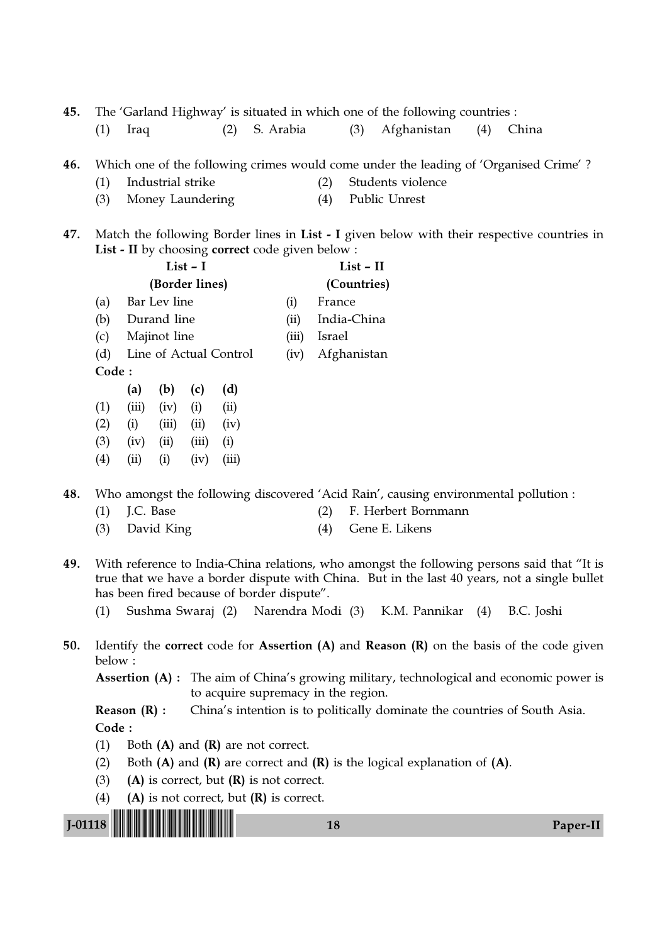45. The 'Garland Highway' is situated in which one of the following countries :

(1) Iraq (2) S. Arabia (3) Afghanistan (4) China

46. Which one of the following crimes would come under the leading of 'Organised Crime' ?

- (1) Industrial strike (2) Students violence
- (3) Money Laundering (4) Public Unrest
- 47. Match the following Border lines in List I given below with their respective countries in List - II by choosing correct code given below :

|                        |       |       |                                           |                | $List - II$ |
|------------------------|-------|-------|-------------------------------------------|----------------|-------------|
|                        |       |       |                                           |                | (Countries) |
|                        |       |       |                                           | (i)            | France      |
|                        |       |       | (ii)                                      | India-China    |             |
| Majinot line           |       |       |                                           |                | Israel      |
| Line of Actual Control |       |       |                                           | (iv)           | Afghanistan |
| Code:                  |       |       |                                           |                |             |
| (a)                    | (b)   | (c)   | (d)                                       |                |             |
| (iii)                  | (iv)  | (i)   | (ii)                                      |                |             |
| (i)                    | (iii) | (ii)  | (iv)                                      |                |             |
| (iv)                   | (ii)  | (iii) | (i)                                       |                |             |
| (i)                    | (i)   | (iv)  | (111)                                     |                |             |
|                        |       |       | $List - I$<br>Bar Lev line<br>Durand line | (Border lines) | (iii)       |

48. Who amongst the following discovered 'Acid Rain', causing environmental pollution :

- (1) J.C. Base (2) F. Herbert Bornmann
- (3) David King (4) Gene E. Likens
- 49. With reference to India-China relations, who amongst the following persons said that "It is true that we have a border dispute with China. But in the last 40 years, not a single bullet has been fired because of border dispute".
	- (1) Sushma Swaraj (2) Narendra Modi (3) K.M. Pannikar (4) B.C. Joshi
- 50. Identify the correct code for Assertion (A) and Reason (R) on the basis of the code given below :

Assertion (A) : The aim of China's growing military, technological and economic power is to acquire supremacy in the region.

**Reason (R) :** China's intention is to politically dominate the countries of South Asia. Code :

- (1) Both  $(A)$  and  $(R)$  are not correct.
- (2) Both  $(A)$  and  $(R)$  are correct and  $(R)$  is the logical explanation of  $(A)$ .
- (3) (A) is correct, but  $(R)$  is not correct.
- (4) (A) is not correct, but  $(R)$  is correct.

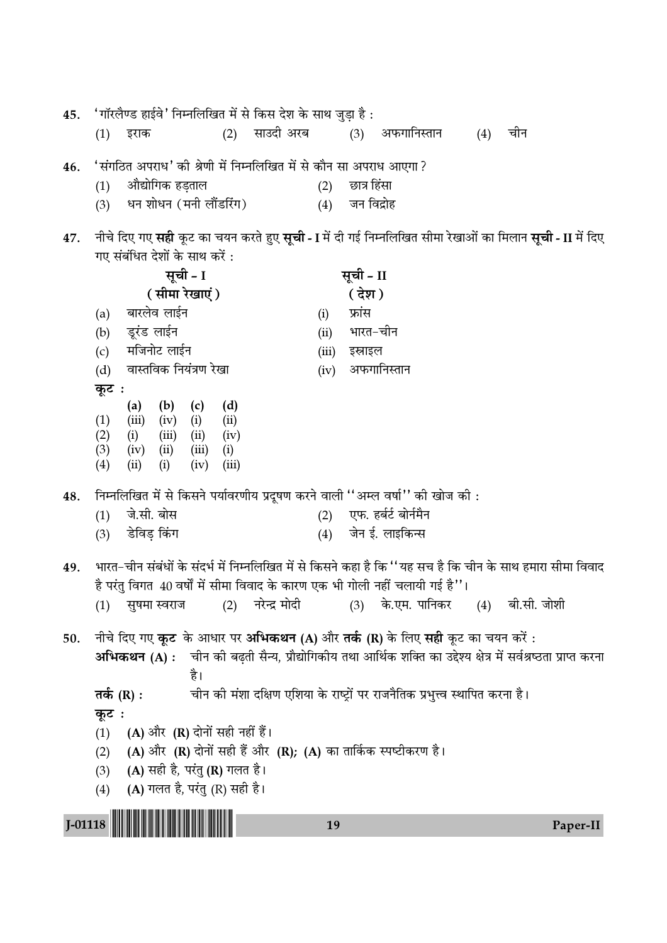'गॉरलैण्ड हाईवे' निम्नलिखित में से किस देश के साथ जुड़ा है: 45. (3) अफगानिस्तान  $(4)$  चीन (2) साउदी अरब  $(1)$  इराक 'संगठित अपराध' की श्रेणी में निम्नलिखित में से कौन सा अपराध आएगा ? 46. औद्योगिक हड़ताल छात्र हिंसा  $(1)$  $(2)$ धन शोधन (मनी लौंडरिंग)  $(3)$  $(4)$  जन विद्रोह नीचे दिए गए **सही** कूट का चयन करते हुए **सूची - I** में दी गई निम्नलिखित सीमा रेखाओं का मिलान **सूची - II** में दिए 47. गए संबंधित देशों के साथ करें : सूची - I सूची - II (सीमा रेखाएं) ( देश) बारलेव लाईन फ्रांस  $(i)$  $(a)$  $(b)$ डूरंड लाईन (ii) भारत-चीन मजिनोट लाईन  $(c)$ (iii) इस्राइल वास्तविक नियंत्रण रेखा (iv) अफगानिस्तान  $(d)$ कुट:  $(d)$  $(a)$   $(b)$  $(c)$  $(1)$  $(iii)$   $(iv)$   $(i)$  $(ii)$  $(2)$  $(i)$  $(iii)$   $(ii)$  $(iv)$  $(3)$  $(iv)$   $(ii)$  $(iii)$  $(i)$  $(4)$  $(ii)$  $(i)$  $(iv)$  $(iii)$ निम्नलिखित में से किसने पर्यावरणीय प्रदूषण करने वाली ''अम्ल वर्षा'' की खोज की: 48. (2) एफ. हर्बर्ट बोर्नमैन जे.सी. बोस  $(1)$ डेविड किंग जेन ई. लाइकिन्स  $(3)$  $(4)$ भारत-चीन संबंधों के संदर्भ में निम्नलिखित में से किसने कहा है कि ''यह सच है कि चीन के साथ हमारा सीमा विवाद 49. है परंत विगत 40 वर्षों में सीमा विवाद के कारण एक भी गोली नहीं चलायी गई है''। (1) सुषमा स्वराज  $(2)$ नरेन्द्र मोदी  $(3)$ के.एम. पानिकर (4) बी.सी. जोशी नीचे दिए गए **कूट** के आधार पर **अभिकथन (A)** और **तर्क (R)** के लिए **सही** कूट का चयन करें : 50. अभिकथन (A) : चीन की बढती सैन्य, प्रौद्योगिकीय तथा आर्थिक शक्ति का उद्देश्य क्षेत्र में सर्वश्रष्ठता प्राप्त करना है। चीन की मंशा दक्षिण एशिया के राष्ट्रों पर राजनैतिक प्रभुत्त्व स्थापित करना है। तर्क  $(R)$  : कूट: (A) और (R) दोनों सही नहीं हैं।  $(1)$ (A) और (R) दोनों सही हैं और (R); (A) का तार्किक स्पष्टीकरण है।  $(2)$ (A) सही है, परंतु (R) गलत है।  $(3)$ (A) गलत है, परंतु (R) सही है।  $(4)$  $J-01118$ 19 Paper-II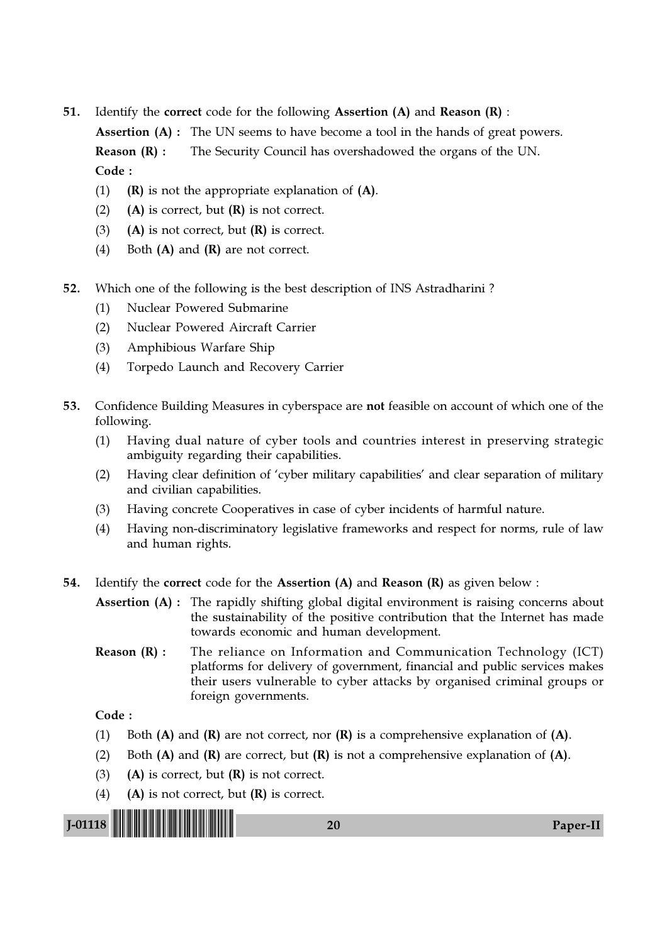51. Identify the correct code for the following Assertion (A) and Reason (R) :

Assertion (A) : The UN seems to have become a tool in the hands of great powers. **Reason (R) :** The Security Council has overshadowed the organs of the UN. Code :

- (1) (R) is not the appropriate explanation of  $(A)$ .
- (2) (A) is correct, but  $(R)$  is not correct.
- (3) (A) is not correct, but  $(R)$  is correct.
- (4) Both  $(A)$  and  $(R)$  are not correct.
- 52. Which one of the following is the best description of INS Astradharini ?
	- (1) Nuclear Powered Submarine
	- (2) Nuclear Powered Aircraft Carrier
	- (3) Amphibious Warfare Ship
	- (4) Torpedo Launch and Recovery Carrier
- 53. Confidence Building Measures in cyberspace are not feasible on account of which one of the following.
	- (1) Having dual nature of cyber tools and countries interest in preserving strategic ambiguity regarding their capabilities.
	- (2) Having clear definition of 'cyber military capabilities' and clear separation of military and civilian capabilities.
	- (3) Having concrete Cooperatives in case of cyber incidents of harmful nature.
	- (4) Having non-discriminatory legislative frameworks and respect for norms, rule of law and human rights.
- 54. Identify the correct code for the Assertion (A) and Reason (R) as given below :

Assertion (A) : The rapidly shifting global digital environment is raising concerns about the sustainability of the positive contribution that the Internet has made towards economic and human development.

**Reason (R) :** The reliance on Information and Communication Technology (ICT) platforms for delivery of government, financial and public services makes their users vulnerable to cyber attacks by organised criminal groups or foreign governments.

- (1) Both (A) and (R) are not correct, nor  $(R)$  is a comprehensive explanation of (A).
- (2) Both  $(A)$  and  $(R)$  are correct, but  $(R)$  is not a comprehensive explanation of  $(A)$ .
- (3) (A) is correct, but  $(R)$  is not correct.
- (4) (A) is not correct, but  $(R)$  is correct.

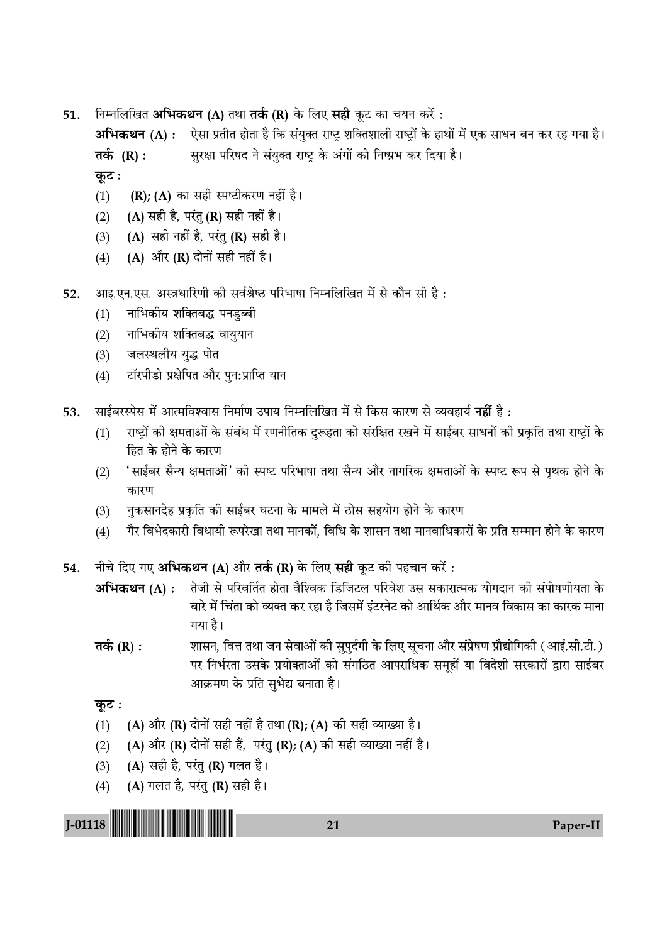ीनम्नलिखित **अभिकथन (A)** तथा **तर्क (R)** के लिए **सही** कूट का चयन करें : 51.

अभिकथन (A) : ऐसा प्रतीत होता है कि संयुक्त राष्ट्र शक्तिशाली राष्ट्रों के हाथों में एक साधन बन कर रह गया है। सुरक्षा परिषद ने संयुक्त राष्ट्र के अंगों को निष्प्रभ कर दिया है। तर्क (R) :

कूट:

- (R); (A) का सही स्पष्टीकरण नहीं है।  $(1)$
- (A) सही है, परंतु (R) सही नहीं है।  $(2)$
- (A) सही नहीं है, परंतु (R) सही है।  $(3)$
- (A) और (R) दोनों सही नहीं है।  $(4)$
- आइ.एन.एस. अस्त्रधारिणी की सर्वश्रेष्ठ परिभाषा निम्नलिखित में से कौन सी है: 52.
	- नाभिकीय शक्तिबद्ध पनडुब्बी  $(1)$
	- नाभिकीय शक्तिबद्ध वायुयान  $(2)$
	- जलस्थलीय युद्ध पोत  $(3)$
	- टॉरपीडो प्रक्षेपित और पन:प्राप्ति यान  $(4)$
- साईबरस्पेस में आत्मविश्वास निर्माण उपाय निम्नलिखित में से किस कारण से व्यवहार्य **नहीं** है : 53.
	- राष्ट्रों की क्षमताओं के संबंध में रणनीतिक दुरूहता को संरक्षित रखने में साईबर साधनों की प्रकृति तथा राष्ट्रों के  $(1)$ हित के होने के कारण
	- 'साईबर सैन्य क्षमताओं' की स्पष्ट परिभाषा तथा सैन्य और नागरिक क्षमताओं के स्पष्ट रूप से पृथक होने के  $(2)$ कारण
	- नुकसानदेह प्रकृति की साईबर घटना के मामले में ठोस सहयोग होने के कारण  $(3)$
	- गैर विभेदकारी विधायी रूपरेखा तथा मानकों, विधि के शासन तथा मानवाधिकारों के प्रति सम्मान होने के कारण  $(4)$
- नीचे दिए गए **अभिकथन (A)** और **तर्क (R)** के लिए **सही** कूट की पहचान करें : 54.
	- तेजी से परिवर्तित होता वैश्विक डिजिटल परिवेश उस सकारात्मक योगदान की संपोषणीयता के अभिकथन (A) : बारे में चिंता को व्यक्त कर रहा है जिसमें इंटरनेट को आर्थिक और मानव विकास का कारक माना गया है।
	- शासन, वित्त तथा जन सेवाओं की सुपुर्दगी के लिए सूचना और संप्रेषण प्रौद्योगिकी (आई.सी.टी.) तर्क  $(R)$  : पर निर्भरता उसके प्रयोक्ताओं को संगठित आपराधिक समूहों या विदेशी सरकारों द्वारा साईबर आक्रमण के प्रति सुभेद्य बनाता है।

कुट :

- (A) और (R) दोनों सही नहीं है तथा (R); (A) की सही व्याख्या है।  $(1)$
- (A) और (R) दोनों सही हैं, परंतु (R); (A) की सही व्याख्या नहीं है।  $(2)$
- (A) सही है, परंतु (R) गलत है।  $(3)$
- (A) गलत है, परंतु (R) सही है।  $(4)$



Paper-II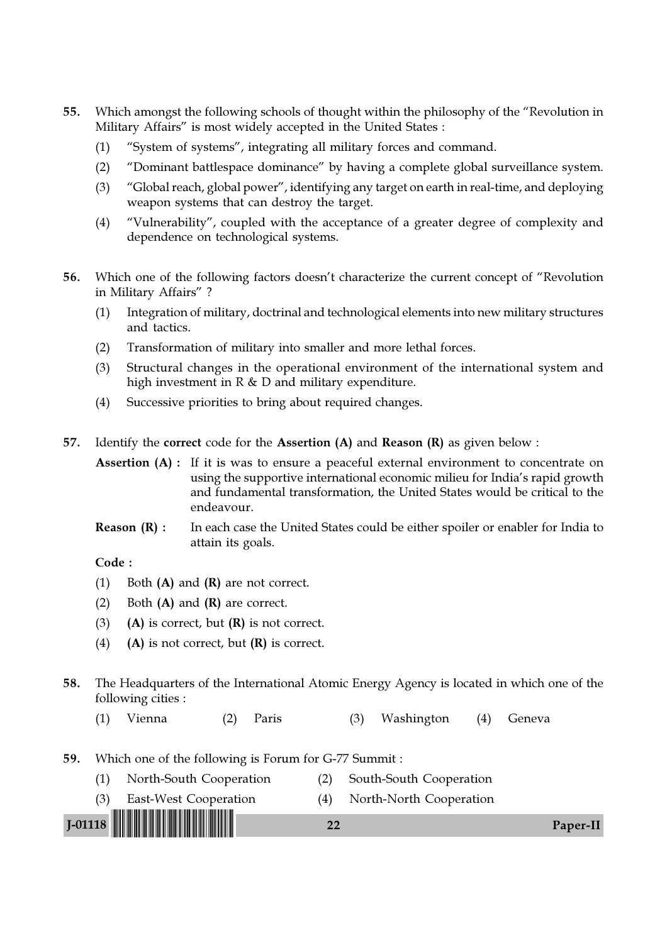- 55. Which amongst the following schools of thought within the philosophy of the "Revolution in Military Affairs" is most widely accepted in the United States :
	- (1) "System of systems", integrating all military forces and command.
	- (2) "Dominant battlespace dominance" by having a complete global surveillance system.
	- (3) "Global reach, global power", identifying any target on earth in real-time, and deploying weapon systems that can destroy the target.
	- (4) "Vulnerability", coupled with the acceptance of a greater degree of complexity and dependence on technological systems.
- 56. Which one of the following factors doesn't characterize the current concept of "Revolution in Military Affairs" ?
	- (1) Integration of military, doctrinal and technological elements into new military structures and tactics.
	- (2) Transformation of military into smaller and more lethal forces.
	- (3) Structural changes in the operational environment of the international system and high investment in R & D and military expenditure.
	- (4) Successive priorities to bring about required changes.
- 57. Identify the correct code for the Assertion  $(A)$  and Reason  $(R)$  as given below :

Assertion (A) : If it is was to ensure a peaceful external environment to concentrate on using the supportive international economic milieu for India's rapid growth and fundamental transformation, the United States would be critical to the endeavour.

**Reason**  $(R)$ **:** In each case the United States could be either spoiler or enabler for India to attain its goals.

- (1) Both  $(A)$  and  $(R)$  are not correct.
- (2) Both  $(A)$  and  $(R)$  are correct.
- (3) (A) is correct, but  $(R)$  is not correct.
- (4) (A) is not correct, but  $(R)$  is correct.
- 58. The Headquarters of the International Atomic Energy Agency is located in which one of the following cities :
	- (1) Vienna (2) Paris (3) Washington (4) Geneva
- 59. Which one of the following is Forum for G-77 Summit :
	- (1) North-South Cooperation (2) South-South Cooperation
	- (3) East-West Cooperation (4) North-North Cooperation

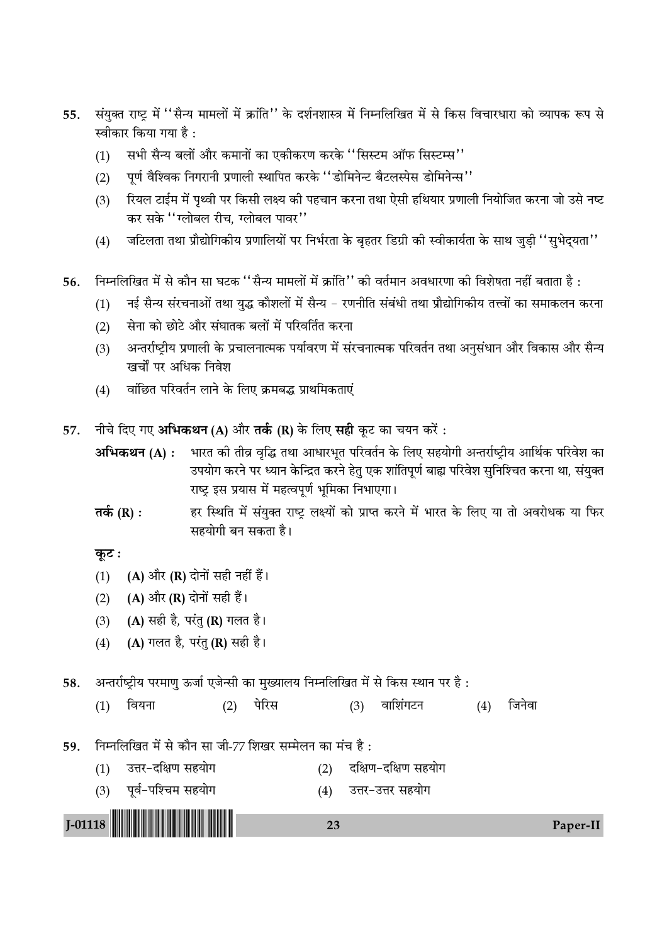- संयुक्त राष्ट्र में ''सैन्य मामलों में क्रांति'' के दर्शनशास्त्र में निम्नलिखित में से किस विचारधारा को व्यापक रूप से 55. स्वीकार किया गया है :
	- सभी सैन्य बलों और कमानों का एकीकरण करके ''सिस्टम ऑफ सिस्टम्स''  $(1)$
	- पूर्ण वैश्विक निगरानी प्रणाली स्थापित करके "डोमिनेन्ट बैटलस्पेस डोमिनेन्स"  $(2)$
	- रियल टाईम में पृथ्वी पर किसी लक्ष्य की पहचान करना तथा ऐसी हथियार प्रणाली नियोजित करना जो उसे नष्ट  $(3)$ कर सके ''ग्लोबल रीच, ग्लोबल पावर''
	- जटिलता तथा प्रौद्योगिकीय प्रणालियों पर निर्भरता के बृहतर डिग्री की स्वीकार्यता के साथ जुड़ी ''सुभेद्यता''  $(4)$

निम्नलिखित में से कौन सा घटक ''सैन्य मामलों में क्रांति'' की वर्तमान अवधारणा की विशेषता नहीं बताता है : 56.

- नई सैन्य संरचनाओं तथा युद्ध कौशलों में सैन्य रणनीति संबंधी तथा प्रौद्योगिकीय तत्त्वों का समाकलन करना  $(1)$
- सेना को छोटे और संघातक बलों में परिवर्तित करना  $(2)$
- अन्तर्राष्ट्रीय प्रणाली के प्रचालनात्मक पर्यावरण में संरचनात्मक परिवर्तन तथा अनुसंधान और विकास और सैन्य  $(3)$ खर्चों पर अधिक निवेश
- वांछित परिवर्तन लाने के लिए क्रमबद्ध प्राथमिकताएं  $(4)$
- नीचे दिए गए अभिकथन (A) और तर्क (R) के लिए सही कूट का चयन करें: 57.
	- अभिकथन (A): भारत की तीव्र वृद्धि तथा आधारभूत परिवर्तन के लिए सहयोगी अन्तर्राष्ट्रीय आर्थिक परिवेश का उपयोग करने पर ध्यान केन्द्रित करने हेतु एक शांतिपूर्ण बाह्य परिवेश सुनिश्चित करना था, संयुक्त राष्ट्र इस प्रयास में महत्वपूर्ण भूमिका निभाएगा।
	- हर स्थिति में संयुक्त राष्ट्र लक्ष्यों को प्राप्त करने में भारत के लिए या तो अवरोधक या फिर तर्क  $(R)$  : सहयोगी बन सकता है।

## कूट :

- (1) (A) और (R) दोनों सही नहीं हैं।
- (A) और (R) दोनों सही हैं।  $(2)$
- (A) सही है, परंतु (R) गलत है।  $(3)$
- $(4)$ (A) गलत है, परंतु (R) सही है।

अन्तर्राष्ट्रीय परमाणु ऊर्जा एजेन्सी का मुख्यालय निम्नलिखित में से किस स्थान पर है: 58.

 $(4)$  जिनेवा  $(1)$ वियना  $(2)$ पेरिस  $(3)$ वाशिंगटन

निम्नलिखित में से कौन सा जी-77 शिखर सम्मेलन का मंच है: 59.

- (1) उत्तर-दक्षिण सहयोग (2) दक्षिण-दक्षिण सहयोग
- (3) पूर्व-पश्चिम सहयोग (4) उत्तर-उत्तर सहयोग



23

Paper-II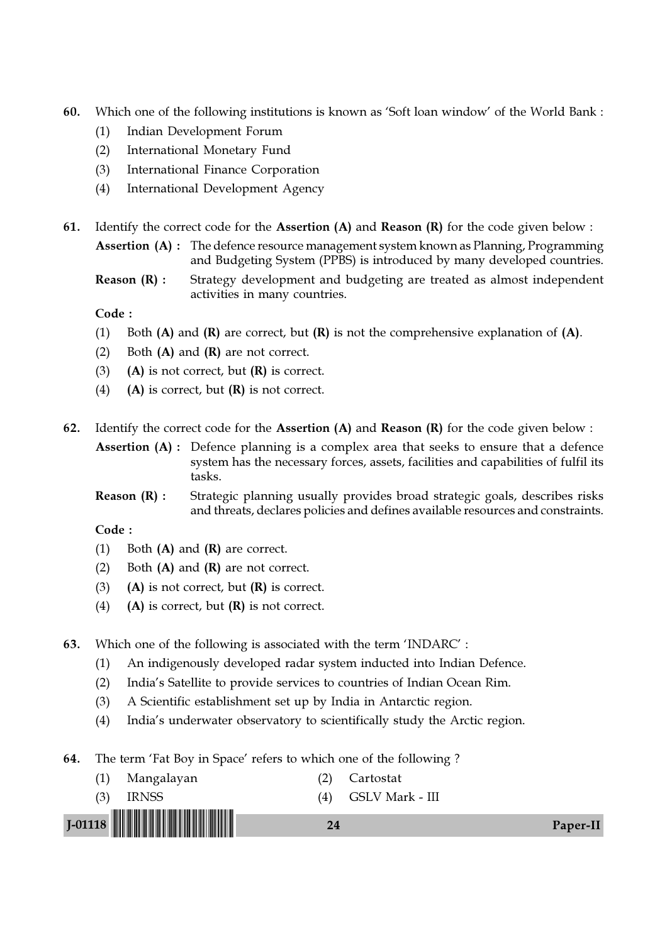- 60. Which one of the following institutions is known as 'Soft loan window' of the World Bank :
	- (1) Indian Development Forum
	- (2) International Monetary Fund
	- (3) International Finance Corporation
	- (4) International Development Agency

61. Identify the correct code for the Assertion  $(A)$  and Reason  $(R)$  for the code given below :

Assertion (A) : The defence resource management system known as Planning, Programming and Budgeting System (PPBS) is introduced by many developed countries.

**Reason (R) :** Strategy development and budgeting are treated as almost independent activities in many countries.

Code :

- (1) Both  $(A)$  and  $(R)$  are correct, but  $(R)$  is not the comprehensive explanation of  $(A)$ .
- (2) Both  $(A)$  and  $(R)$  are not correct.
- (3) (A) is not correct, but  $(R)$  is correct.
- (4) (A) is correct, but  $(R)$  is not correct.
- 62. Identify the correct code for the Assertion  $(A)$  and Reason  $(R)$  for the code given below :

Assertion (A) : Defence planning is a complex area that seeks to ensure that a defence system has the necessary forces, assets, facilities and capabilities of fulfil its tasks.

Reason (R) : Strategic planning usually provides broad strategic goals, describes risks and threats, declares policies and defines available resources and constraints.

- (1) Both (A) and (R) are correct.
- (2) Both  $(A)$  and  $(R)$  are not correct.
- (3) (A) is not correct, but  $(R)$  is correct.
- (4) (A) is correct, but  $(R)$  is not correct.
- 63. Which one of the following is associated with the term 'INDARC' :
	- (1) An indigenously developed radar system inducted into Indian Defence.
	- (2) India's Satellite to provide services to countries of Indian Ocean Rim.
	- (3) A Scientific establishment set up by India in Antarctic region.
	- (4) India's underwater observatory to scientifically study the Arctic region.
- 64. The term 'Fat Boy in Space' refers to which one of the following ?
- J-01118 !J-01118-PAPER-II! <sup>24</sup> Paper-II (1) Mangalayan (2) Cartostat (3) IRNSS (4) GSLV Mark - III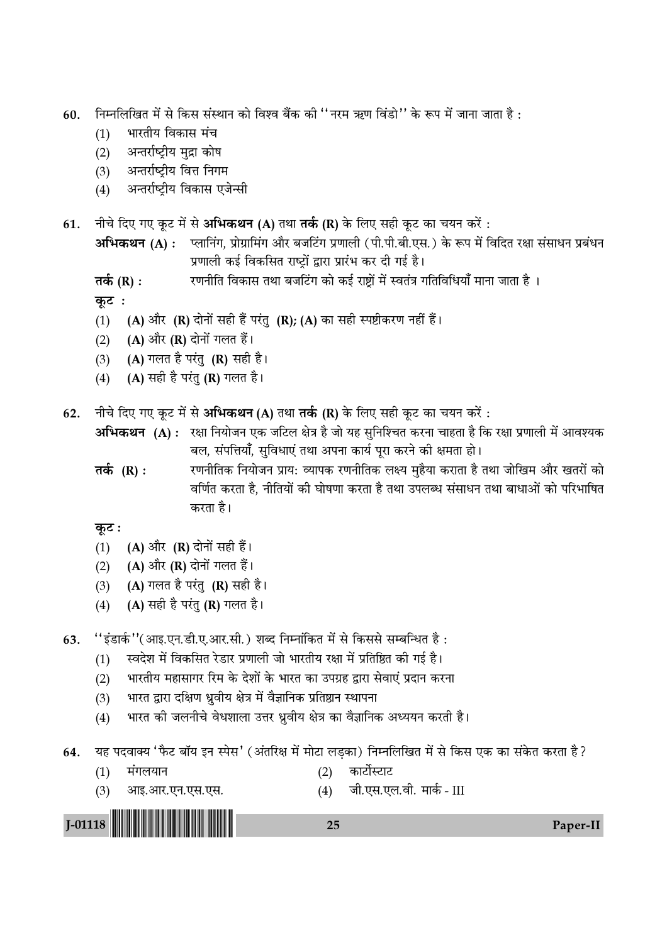- 60. निम्नलिखित में से किस संस्थान को विश्व बैंक की ''नरम ऋण विंडो'' के रूप में जाना जाता है :
	- $(1)$  भारतीय विकास मंच
	- (2) अन्तर्राष्ट्रीय मुद्रा कोष
	- (3) अन्तर्राष्ट्रीय वित्त निगम
	- (4) अन्तर्राष्ट्रीय विकास एजेन्सी
- 61. नीचे दिए गए कूट में से अभिकथन (A) तथा **तर्क (R)** के लिए सही कूट का चयन करें :

**अभिकथन (A) :** प्लानिंग, प्रोग्रामिंग और बजटिंग प्रणाली (पी.पी.बी.एस.) के रूप में विदित रक्षा संसाधन प्रबंधन प्रणाली कई विकसित राष्टों द्वारा प्रारंभ कर दी गई है।

**Ã∑¸§** (R) **—** ⁄UáÊŸËÁà Áfl∑§Ê' ÃÕÊ '¡Á≈¥Uª ∑§Ê ∑§ß¸ ⁄UÊC˛Ê¥ ◊¥ SflÃ¥òÊ ªÁÃÁflÁœÿʰ ◊ÊŸÊ ¡ÊÃÊ "Ò –

 $\Phi$ **z** :

- (1) (A) और (R) दोनों सही हैं परंतु (R); (A) का सही स्पष्टीकरण नहीं हैं।
- (2)  $(A)$  और  $(R)$  दोनों गलत हैं।
- (3) (A) गलत है परंतु (R) सही है।
- $(4)$  (A) सही है परंतु (R) गलत है।
- 62. नीचे दिए गए कूट में से अभिकथन (A) तथा तर्क (R) के लिए सही कूट का चयन करें:

**अभिकथन (A) :** रक्षा नियोजन एक जटिल क्षेत्र है जो यह सुनिश्चित करना चाहता है कि रक्षा प्रणाली में आवश्यक बल, संपत्तियाँ, सुविधाएं तथा अपना कार्य पूरा करने की क्षमता हो।

**तर्क (R) :** रणनीतिक नियोजन प्राय: व्यापक रणनीतिक लक्ष्य मुहैया कराता है तथा जोखिम और खतरों को वर्णित करता है, नीतियों की घोषणा करता है तथा उपलब्ध संसाधन तथा बाधाओं को परिभाषित करता है।

**∑ͧ≈U —**

- (1)  $(A)$  और  $(R)$  दोनों सही हैं।
- (2)  $(A)$  और  $(R)$  दोनों गलत हैं।
- (3)  $(A)$  गलत है परंतु  $(R)$  सही है।
- (4) (A) सही है परंतु (R) गलत है।

63.  $"$ इंडार्क''(आइ.एन.डी.ए.आर.सी.) शब्द निम्नांकित में से किससे सम्बन्धित है:

- (1) स्वदेश में विकसित रेडार प्रणाली जो भारतीय रक्षा में प्रतिष्ठित की गई है।
- (2) भारतीय महासागर रिम के देशों के भारत का उपग्रह द्वारा सेवाएं प्रदान करना
- (3) भारत द्वारा दक्षिण ध्रुवीय क्षेत्र में वैज्ञानिक प्रतिष्ठान स्थापना
- (4) भारत की जलनीचे वेधशाला उत्तर ध्रुवीय क्षेत्र का वैज्ञानिक अध्ययन करती है।
- 64. यह पदवाक्य 'फैट बॉय इन स्पेस' (अंतरिक्ष में मोटा लड़का) निम्नलिखित में से किस एक का संकेत करता है?
	- (1) मंगलयान (2) कार्टोस्टाट
	- (3) आइ.आर.एन.एस.एस. (4) जी.एस.एल.वी. मार्क III

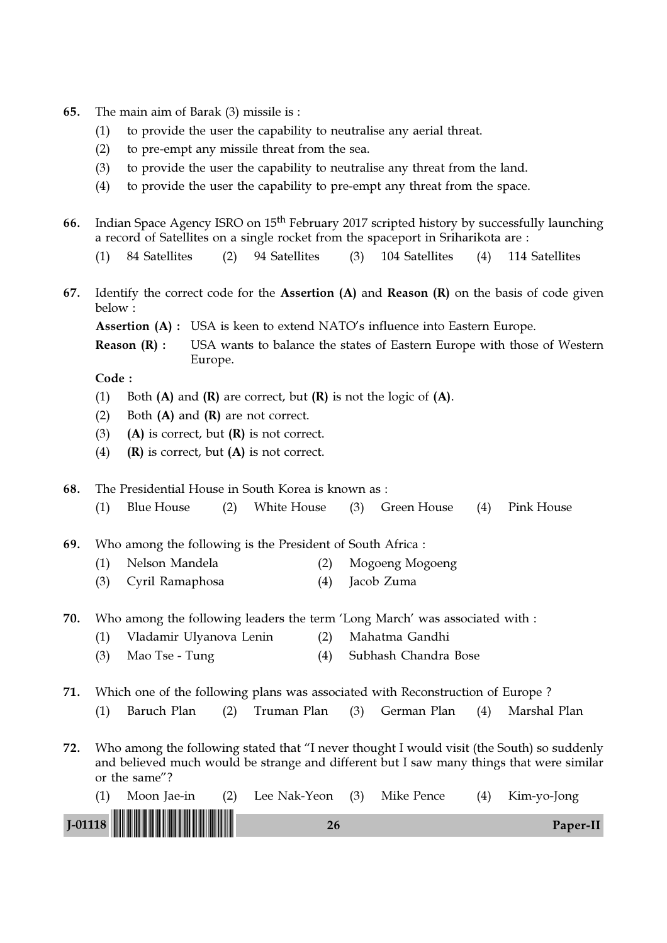| The main aim of Barak (3) missile is :<br>65. |  |  |
|-----------------------------------------------|--|--|
|-----------------------------------------------|--|--|

- (1) to provide the user the capability to neutralise any aerial threat.
- (2) to pre-empt any missile threat from the sea.
- (3) to provide the user the capability to neutralise any threat from the land.
- (4) to provide the user the capability to pre-empt any threat from the space.
- 66. Indian Space Agency ISRO on 15<sup>th</sup> February 2017 scripted history by successfully launching a record of Satellites on a single rocket from the spaceport in Sriharikota are :
	- (1) 84 Satellites (2) 94 Satellites (3) 104 Satellites (4) 114 Satellites
- 67. Identify the correct code for the Assertion  $(A)$  and Reason  $(R)$  on the basis of code given below :
	- Assertion (A) : USA is keen to extend NATO's influence into Eastern Europe.
	- **Reason**  $(R)$ **:** USA wants to balance the states of Eastern Europe with those of Western Europe.

Code :

- (1) Both  $(A)$  and  $(R)$  are correct, but  $(R)$  is not the logic of  $(A)$ .
- (2) Both  $(A)$  and  $(R)$  are not correct.
- (3) (A) is correct, but  $(R)$  is not correct.
- (4)  $(R)$  is correct, but  $(A)$  is not correct.

68. The Presidential House in South Korea is known as :

(1) Blue House (2) White House (3) Green House (4) Pink House

69. Who among the following is the President of South Africa :

- (1) Nelson Mandela (2) Mogoeng Mogoeng
- (3) Cyril Ramaphosa (4) Jacob Zuma
- 70. Who among the following leaders the term 'Long March' was associated with :
	- (1) Vladamir Ulyanova Lenin (2) Mahatma Gandhi
	- (3) Mao Tse Tung (4) Subhash Chandra Bose

71. Which one of the following plans was associated with Reconstruction of Europe ?

- (1) Baruch Plan (2) Truman Plan (3) German Plan (4) Marshal Plan
- 72. Who among the following stated that "I never thought I would visit (the South) so suddenly and believed much would be strange and different but I saw many things that were similar or the same"?

| Moon Jae-in | (2) Lee Nak-Yeon (3) Mike Pence |  | (4) | Kim-yo-Jong |
|-------------|---------------------------------|--|-----|-------------|
|             |                                 |  |     | Paper-II    |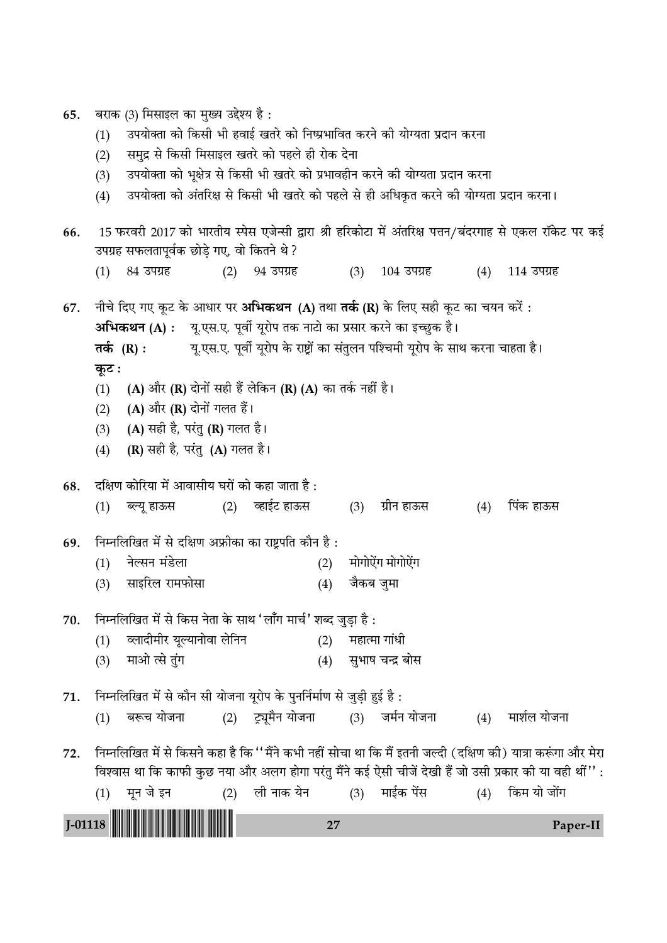65. बराक (3) मिसाइल का मुख्य उद्देश्य है :

- (1) उपयोक्ता को किसी भी हवाई खतरे को निष्प्रभावित करने की योग्यता प्रदान करना
- (2) समुद्र से किसी मिसाइल खतरे को पहले ही रोक देना
- (3) ⊂उपयोक्ता को भूक्षेत्र से किसी भी खतरे को प्रभावहीन करने की योग्यता प्रदान करना
- (4) उपयोक्ता को अंतरिक्ष से किसी भी खतरे को पहले से ही अधिकृत करने की योग्यता प्रदान करना।

66. 15 फरवरी 2017 को भारतीय स्पेस एजेन्सी द्वारा श्री हरिकोटा में अंतरिक्ष पत्तन/बंदरगाह से एकल रॉकेट पर कई उपग्रह सफलतापूर्वक छोड़े गए, वो कितने थे ?  $(1)$  84 उपग्रह  $(2)$  94 उपग्रह  $(3)$  104 उपग्रह  $(4)$  114 उपग्रह 67. नीचे दिए गए कूट के आधार पर **अभिकथन (A)** तथा **तर्क (R)** के लिए सही कूट का चयन करेंं : **अभिकथन (A) :** — यू.एस.ए. पूर्वी यूरोप तक नाटो का प्रसार करने का इच्छुक है। **तर्क) (R) :** यू.एस.ए. पूर्वी यूरोप के राष्ट्रों का संतुलन पश्चिमी यूरोप के साथ करना चाहता है। **∑ͧ≈ —** (1) (A) और (R) दोनों सही हैं लेकिन (R) (A) का तर्क नहीं है। (2)  $(A)$  और  $(R)$  दोनों गलत हैं। (3) (A) सही है, परंतु (R) गलत है। (4)  $(R)$  सही है, परंतु  $(A)$  गलत है।  $68.$  दक्षिण कोरिया में आवासीय घरों को कहा जाता है: (1) éÀÿÍ "Ê™§' (2) √"Ê߸≈U "Ê™§' (3) ª˝ËŸ "Ê™§' (4) Á¬¥∑§ "Ê™§' 69. निम्नलिखित में से दक्षिण अफ्रीका का राष्ट्रपति कौन है: (1) नेल्सन मंडेला (2) मोगोऐंग मोगोऐंग (3) साइरिल रामफोसा (4) जैकब जुमा  $70.$  निम्नलिखित में से किस नेता के साथ 'लाँग मार्च' शब्द जुडा है: (1) व्लादीमीर यूल्यानोवा लेनिन (2) महात्मा गांधी

(3) ◊Ê•Ê à' ÃÈ¥ª (4) 'È÷Ê· øãŒ˝ 'Ê'

71. निम्नलिखित में से कौन सी योजना यूरोप के पुनर्निर्माण से जुड़ी हुई है:  $(1)$  बरूच योजना  $(2)$  ट्र्यूमैन योजना  $(3)$  जर्मन योजना  $(4)$  मार्शल योजना

72. निम्नलिखित में से किसने कहा है कि ''मैंने कभी नहीं सोचा था कि मैं इतनी जल्दी (दक्षिण की) यात्रा करूंगा और मेरा विश्वास था कि काफी कुछ नया और अलग होगा परंतु मैंने कई ऐसी चीजें देखी हैं जो उसी प्रकार की या वही थीं'' :

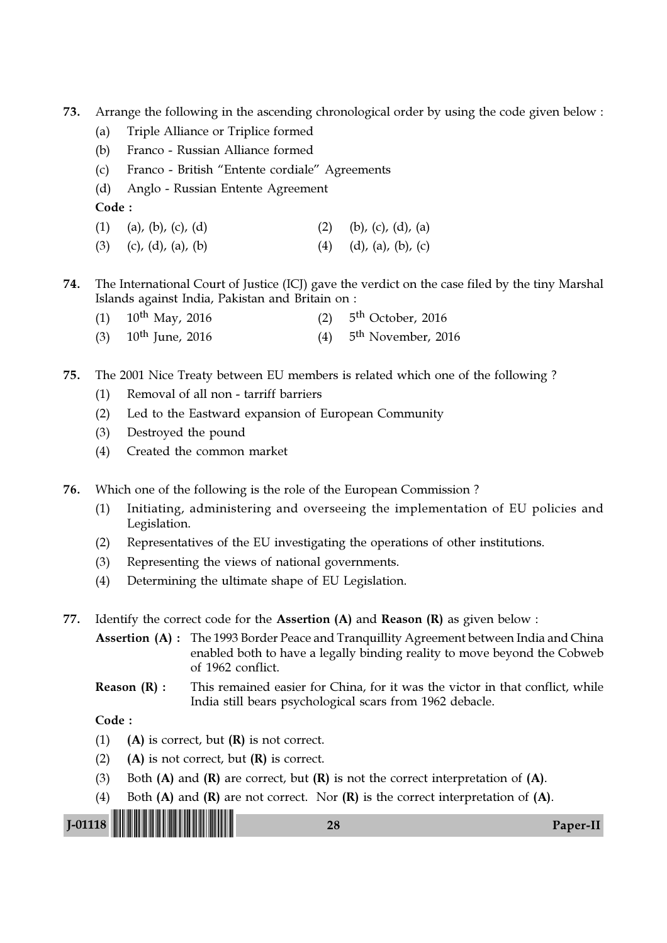- 73. Arrange the following in the ascending chronological order by using the code given below :
	- (a) Triple Alliance or Triplice formed
	- (b) Franco Russian Alliance formed
	- (c) Franco British "Entente cordiale" Agreements
	- (d) Anglo Russian Entente Agreement

Code :

- (1) (a), (b), (c), (d) (2) (b), (c), (d), (a)
- (3) (c), (d), (a), (b) (4) (d), (a), (b), (c)
- 74. The International Court of Justice (ICJ) gave the verdict on the case filed by the tiny Marshal Islands against India, Pakistan and Britain on :
	- (1)  $10^{th}$  May, 2016  $(2)$  5<sup>th</sup> October, 2016
	- (3)  $10^{th}$  June, 2016  $(4)$  5<sup>th</sup> November, 2016
- 75. The 2001 Nice Treaty between EU members is related which one of the following ?
	- (1) Removal of all non tarriff barriers
	- (2) Led to the Eastward expansion of European Community
	- (3) Destroyed the pound
	- (4) Created the common market
- 76. Which one of the following is the role of the European Commission ?
	- (1) Initiating, administering and overseeing the implementation of EU policies and Legislation.
	- (2) Representatives of the EU investigating the operations of other institutions.
	- (3) Representing the views of national governments.
	- (4) Determining the ultimate shape of EU Legislation.
- 77. Identify the correct code for the **Assertion (A)** and **Reason (R)** as given below :

Assertion (A) : The 1993 Border Peace and Tranquillity Agreement between India and China enabled both to have a legally binding reality to move beyond the Cobweb of 1962 conflict.

#### **Reason**  $(R)$ **:** This remained easier for China, for it was the victor in that conflict, while India still bears psychological scars from 1962 debacle.

- (1) (A) is correct, but  $(R)$  is not correct.
- (2) (A) is not correct, but  $(R)$  is correct.
- (3) Both  $(A)$  and  $(R)$  are correct, but  $(R)$  is not the correct interpretation of  $(A)$ .
- (4) Both  $(A)$  and  $(R)$  are not correct. Nor  $(R)$  is the correct interpretation of  $(A)$ .

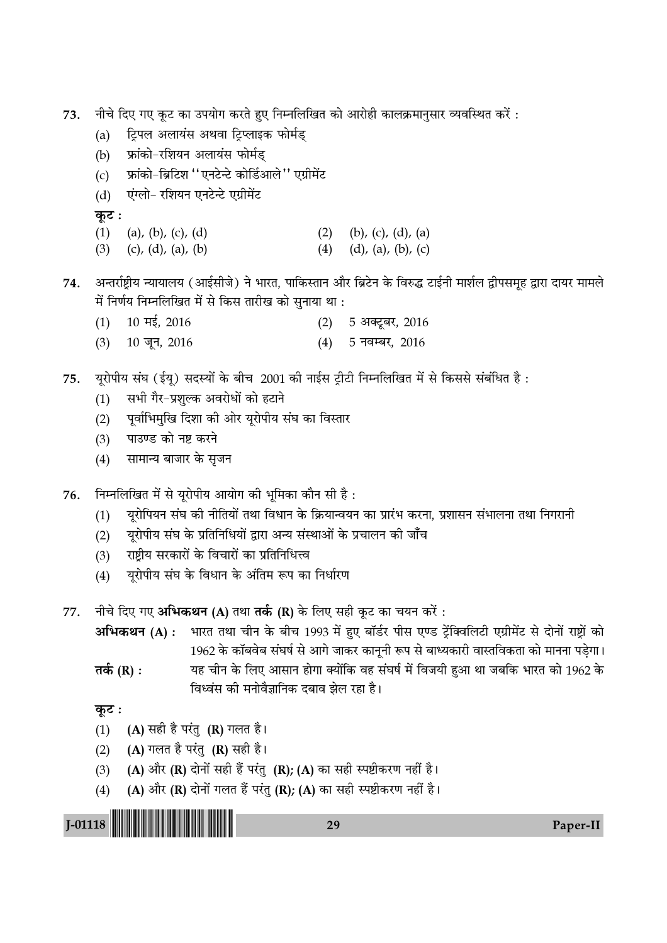73. नीचे दिए गए कूट का उपयोग करते हुए निम्नलिखित को आरोही कालक्रमानुसार व्यवस्थित करें:

- (a) हिपल अलायंस अथवा ट्रिप्लाइक फोर्मड्
- (b) फ्रांको-रशियन अलायंस फोर्मड्
- (c) फ्रांको-ब्रिटिश ''एनटेन्टे कोर्डिआले'' एग्रीमेंट
- (d) एंग्लो- रशियन एनटेन्टे एग्रीमेंट

**कूट**ः

- (1) (a), (b), (c), (d) (2) (b), (c), (d), (a)
- (3) (c), (d), (a), (b) (4) (d), (a), (b), (c)

74. अन्तर्राष्ट्रीय न्यायालय (आईसीजे) ने भारत, पाकिस्तान और ब्रिटेन के विरुद्ध टाईनी मार्शल द्वीपसमूह द्वारा दायर मामले में निर्णय निम्नलिखित में से किस तारीख को सुनाया था :

- $(1)$  10 मई, 2016 (2) 5 अक्टूबर, 2016
- $(3)$  10 जून, 2016 (4) 5 नवम्बर, 2016

 $75.$  यूरोपीय संघ (ईयू) सदस्यों के बीच 2001 की नाईस ट्रीटी निम्नलिखित में से किससे संबंधित है :

- (1) सभी गैर-प्रशुल्क अवरोधों को हटाने
- (2) पूर्वाभिमुखि दिशा की ओर यूरोपीय संघ का विस्तार
- (3) पाउण्ड को नष्ट करने
- (4) सामान्य बाजार के सृजन
- 76. निम्नलिखित में से यूरोपीय आयोग की भूमिका कौन सी है:
	- (1) यूरोपियन संघ की नीतियों तथा विधान के क्रियान्वयन का प्रारंभ करना, प्रशासन संभालना तथा निगरानी
	- (2) युरोपीय संघ के प्रतिनिधियों द्वारा अन्य संस्थाओं के प्रचालन की जाँच
	- (3) *राष्ट्रीय सरकारों के विचारों का प्रतिनिधि*त्व
	- (4) यूरोपीय संघ के विधान के अंतिम रूप का निर्धारण
- 77. नीचे दिए गए अभिकथन (A) तथा तर्क (R) के लिए सही कूट का चयन करें:

**अभिकथन (A) :** भारत तथा चीन के बीच 1993 में हुए बॉर्डर पीस एण्ड ट्रेंक्विलिटी एग्रीमेंट से दोनों राष्ट्रों को 1962 के कॉबवेब संघर्ष से आगे जाकर कानूनी रूप से बाध्यकारी वास्तविकता को मानना पड़ेगा।

**तर्क (R) :** यह चीन के लिए आसान होगा क्योंकि वह संघर्ष में विजयी हुआ था जबकि भारत को 1962 के विध्वंस की मनोवैज्ञानिक दबाव झेल रहा है।

**कूट**ः

- (1)  $(A)$  सही है परंतु (R) गलत है।
- (2) (A) गलत है परंतु (R) सही है।
- (3) (A) और (R) दोनों सही हैं परंतु (R); (A) का सही स्पष्टीकरण नहीं है।
- (4) (A) और (R) दोनों गलत हैं परंतु (R); (A) का सही स्पष्टीकरण नहीं है।

| <b>All Delivery</b><br><b>L01118</b> |  |
|--------------------------------------|--|
|                                      |  |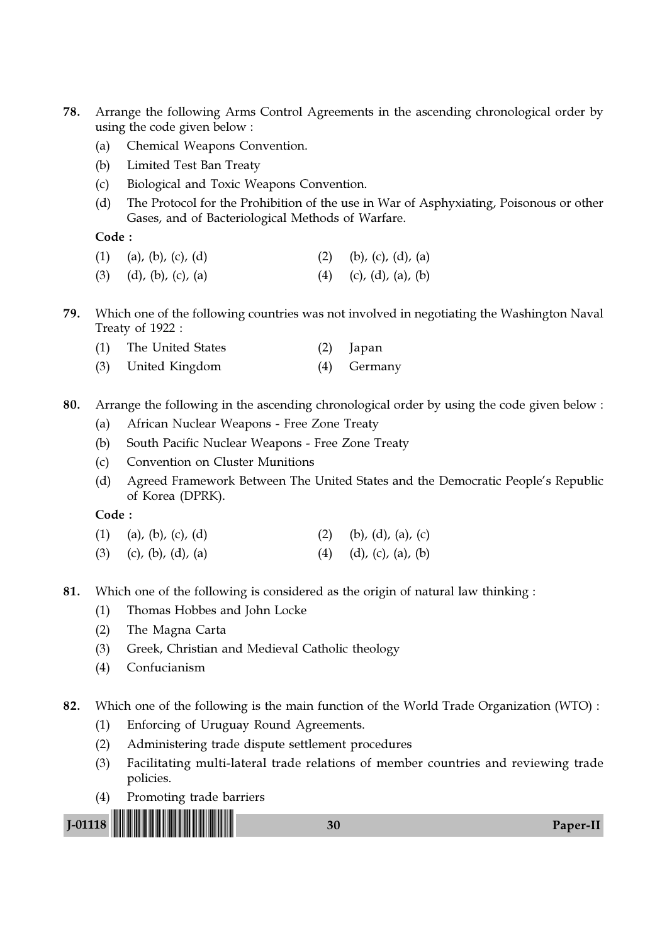- 78. Arrange the following Arms Control Agreements in the ascending chronological order by using the code given below :
	- (a) Chemical Weapons Convention.
	- (b) Limited Test Ban Treaty
	- (c) Biological and Toxic Weapons Convention.
	- (d) The Protocol for the Prohibition of the use in War of Asphyxiating, Poisonous or other Gases, and of Bacteriological Methods of Warfare.

Code :

| (2) (b), (c), (d), (a)<br>$(1)$ (a), (b), (c), (d) |
|----------------------------------------------------|
|----------------------------------------------------|

- (3) (d), (b), (c), (a) (4) (c), (d), (a), (b)
- 79. Which one of the following countries was not involved in negotiating the Washington Naval Treaty of 1922 :
	- (1) The United States (2) Japan
	- (3) United Kingdom (4) Germany
- 80. Arrange the following in the ascending chronological order by using the code given below :
	- (a) African Nuclear Weapons Free Zone Treaty
	- (b) South Pacific Nuclear Weapons Free Zone Treaty
	- (c) Convention on Cluster Munitions
	- (d) Agreed Framework Between The United States and the Democratic People's Republic of Korea (DPRK).

| $(1)$ (a), (b), (c), (d) |  | (2) (b), (d), (a), (c) |  |  |
|--------------------------|--|------------------------|--|--|
|--------------------------|--|------------------------|--|--|

- (3) (c), (b), (d), (a) (4) (d), (c), (a), (b)
- 81. Which one of the following is considered as the origin of natural law thinking :
	- (1) Thomas Hobbes and John Locke
	- (2) The Magna Carta
	- (3) Greek, Christian and Medieval Catholic theology
	- (4) Confucianism
- 82. Which one of the following is the main function of the World Trade Organization (WTO) :
	- (1) Enforcing of Uruguay Round Agreements.
	- (2) Administering trade dispute settlement procedures
	- (3) Facilitating multi-lateral trade relations of member countries and reviewing trade policies.
	- (4) Promoting trade barriers

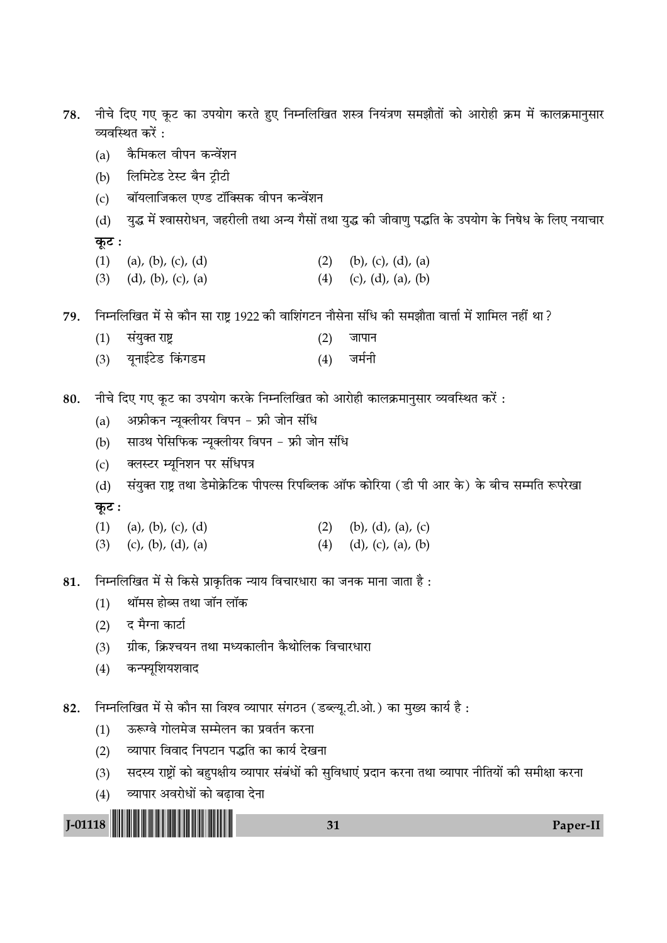- नीचे दिए गए कूट का उपयोग करते हुए निम्नलिखित शस्त्र नियंत्रण समझौतों को आरोही क्रम में कालक्रमानुसार 78. व्यवस्थित करें :
	- कैमिकल वीपन कन्वेंशन  $(a)$
	- लिमिटेड टेस्ट बैन ट्रीटी  $(b)$
	- बॉयलाजिकल एण्ड टॉक्सिक वीपन कन्वेंशन  $(c)$

युद्ध में श्वासरोधन, जहरीली तथा अन्य गैसों तथा युद्ध की जीवाणु पद्धति के उपयोग के निषेध के लिए नयाचार  $(d)$ कुट:

- (b), (c), (d), (a)  $(1)$  (a), (b), (c), (d)  $(2)$
- $(d)$ ,  $(b)$ ,  $(c)$ ,  $(a)$ (4) (c), (d), (a), (b)  $(3)$

निम्नलिखित में से कौन सा राष्ट 1922 की वाशिंगटन नौसेना संधि की समझौता वार्त्ता में शामिल नहीं था ? 79.

- $(1)$ संयुक्त राष्ट्र जापान  $(2)$ यूनाईटेड किंगडम जर्मनी  $(3)$  $(4)$
- नीचे दिए गए कुट का उपयोग करके निम्नलिखित को आरोही कालक्रमानुसार व्यवस्थित करें: 80.
	- अफ्रीकन न्यूक्लीयर विपन फ्री जोन संधि  $(a)$
	- साउथ पेसिफिक न्यूक्लीयर विपन फ्री जोन संधि  $(b)$
	- क्लस्टर म्यूनिशन पर संधिपत्र  $(c)$
	- संयुक्त राष्ट्र तथा डेमोक्रेटिक पीपल्स रिपब्लिक ऑफ कोरिया (डी पी आर के) के बीच सम्मति रूपरेखा  $(d)$ कूट:
	- $(1)$  (a), (b), (c), (d) (b), (d), (a), (c)  $(2)$
	- (c), (b), (d), (a)  $(4)$   $(d)$ ,  $(c)$ ,  $(a)$ ,  $(b)$  $(3)$
- निम्नलिखित में से किसे प्राकृतिक न्याय विचारधारा का जनक माना जाता है : 81.
	- थॉमस होब्स तथा जॉन लॉक  $(1)$
	- द मैग्ना कार्टा  $(2)$
	- ग्रीक, क्रिश्चयन तथा मध्यकालीन कैथोलिक विचारधारा  $(3)$
	- कन्फ्यूशियशवाद  $(4)$
- निम्नलिखित में से कौन सा विश्व व्यापार संगठन (डब्ल्यू.टी.ओ.) का मुख्य कार्य है: 82.
	- ऊरूग्वे गोलमेज सम्मेलन का प्रवर्तन करना  $(1)$
	- व्यापार विवाद निपटान पद्धति का कार्य देखना  $(2)$
	- सदस्य राष्ट्रों को बहुपक्षीय व्यापार संबंधों की सुविधाएं प्रदान करना तथा व्यापार नीतियों की समीक्षा करना  $(3)$
	- व्यापार अवरोधों को बढ़ावा देना  $(4)$

 $J-01118$ 31 Paper-II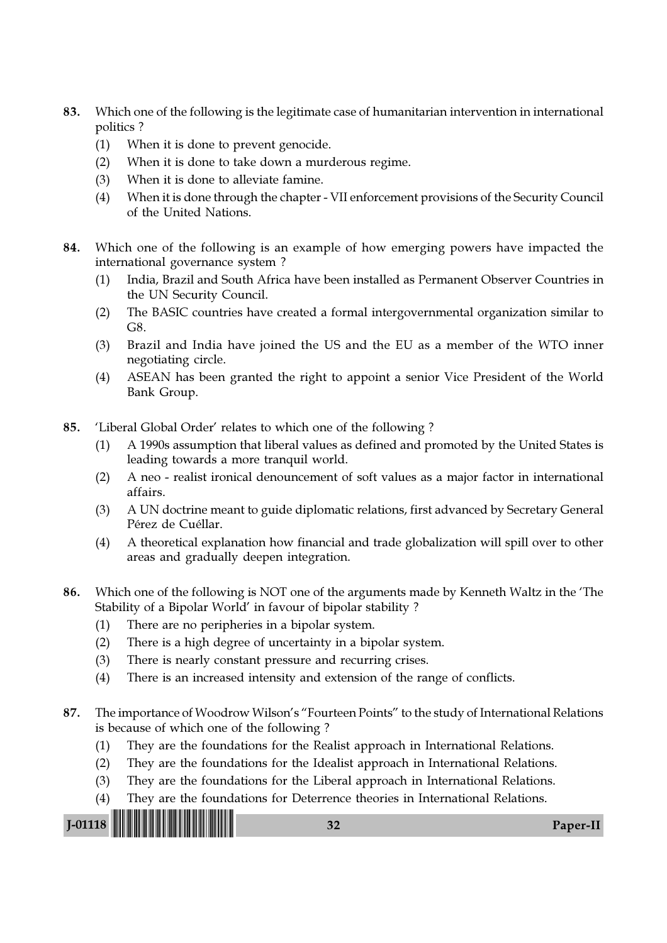- 83. Which one of the following is the legitimate case of humanitarian intervention in international politics ?
	- (1) When it is done to prevent genocide.
	- (2) When it is done to take down a murderous regime.
	- (3) When it is done to alleviate famine.
	- (4) When it is done through the chapter VII enforcement provisions of the Security Council of the United Nations.
- 84. Which one of the following is an example of how emerging powers have impacted the international governance system ?
	- (1) India, Brazil and South Africa have been installed as Permanent Observer Countries in the UN Security Council.
	- (2) The BASIC countries have created a formal intergovernmental organization similar to G8.
	- (3) Brazil and India have joined the US and the EU as a member of the WTO inner negotiating circle.
	- (4) ASEAN has been granted the right to appoint a senior Vice President of the World Bank Group.
- 85. 'Liberal Global Order' relates to which one of the following ?
	- (1) A 1990s assumption that liberal values as defined and promoted by the United States is leading towards a more tranquil world.
	- (2) A neo realist ironical denouncement of soft values as a major factor in international affairs.
	- (3) A UN doctrine meant to guide diplomatic relations, first advanced by Secretary General Pérez de Cuéllar.
	- (4) A theoretical explanation how financial and trade globalization will spill over to other areas and gradually deepen integration.
- 86. Which one of the following is NOT one of the arguments made by Kenneth Waltz in the 'The Stability of a Bipolar World' in favour of bipolar stability ?
	- (1) There are no peripheries in a bipolar system.
	- (2) There is a high degree of uncertainty in a bipolar system.
	- (3) There is nearly constant pressure and recurring crises.
	- (4) There is an increased intensity and extension of the range of conflicts.
- 87. The importance of Woodrow Wilson's "Fourteen Points" to the study of International Relations is because of which one of the following ?
	- (1) They are the foundations for the Realist approach in International Relations.
	- (2) They are the foundations for the Idealist approach in International Relations.
	- (3) They are the foundations for the Liberal approach in International Relations.
	- (4) They are the foundations for Deterrence theories in International Relations.

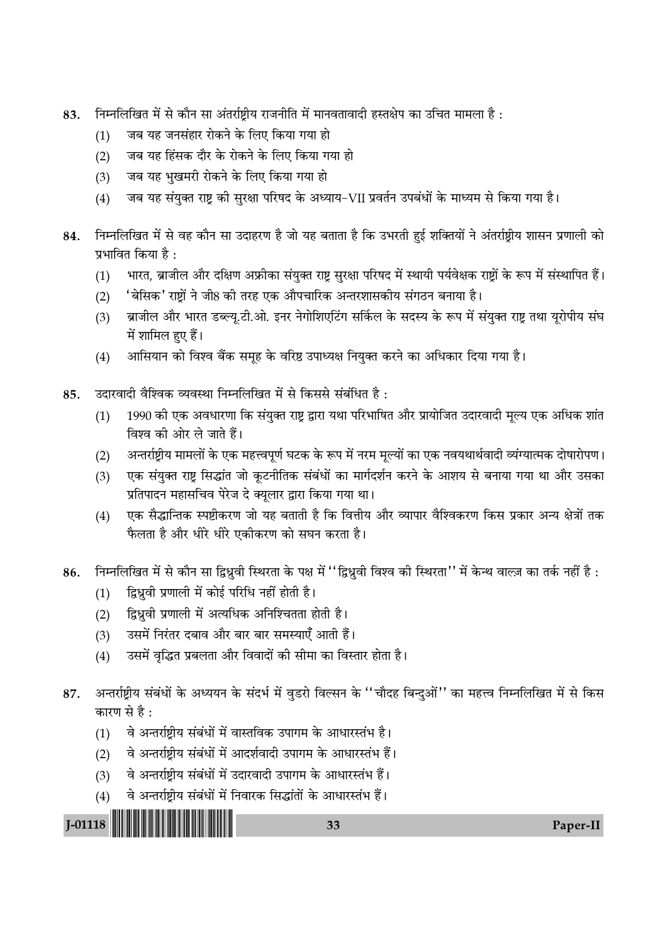- निम्नलिखित में से कौन सा अंतर्राष्ट्रीय राजनीति में मानवतावादी हस्तक्षेप का उचित मामला है: 83.
	- जब यह जनसंहार रोकने के लिए किया गया हो  $(1)$
	- जब यह हिंसक दौर के रोकने के लिए किया गया हो  $(2)$
	- जब यह भुखमरी रोकने के लिए किया गया हो  $(3)$
	- जब यह संयुक्त राष्ट्र की सुरक्षा परिषद के अध्याय-VII प्रवर्तन उपबंधों के माध्यम से किया गया है।  $(4)$
- निम्नलिखित में से वह कौन सा उदाहरण है जो यह बताता है कि उभरती हुई शक्तियों ने अंतर्राष्ट्रीय शासन प्रणाली को 84. प्रभावित किया है  $\cdot$ 
	- $(1)$ भारत, ब्राजील और दक्षिण अफ्रीका संयुक्त राष्ट्र सुरक्षा परिषद में स्थायी पर्यवेक्षक राष्ट्रों के रूप में संस्थापित हैं।
	- 'बेसिक' राष्टों ने जी8 की तरह एक औपचारिक अन्तरशासकीय संगठन बनाया है।  $(2)$
	- ब्राजील और भारत डब्ल्यू.टी.ओ. इनर नेगोशिएटिंग सर्किल के सदस्य के रूप में संयुक्त राष्ट्र तथा यूरोपीय संघ  $(3)$ में शामिल हुए हैं।
	- आसियान को विश्व बैंक समूह के वरिष्ठ उपाध्यक्ष नियुक्त करने का अधिकार दिया गया है।  $(4)$
- उदारवादी वैश्विक व्यवस्था निम्नलिखित में से किससे संबंधित है: 85.
	- 1990 की एक अवधारणा कि संयुक्त राष्ट्र द्वारा यथा परिभाषित और प्रायोजित उदारवादी मूल्य एक अधिक शांत  $(1)$ विश्व की ओर ले जाते हैं।
	- अन्तर्राष्ट्रीय मामलों के एक महत्त्वपूर्ण घटक के रूप में नरम मूल्यों का एक नवयथार्थवादी व्यंग्यात्मक दोषारोपण।  $(2)$
	- एक संयुक्त राष्ट्र सिद्धांत जो कूटनीतिक संबंधों का मार्गदर्शन करने के आशय से बनाया गया था और उसका  $(3)$ प्रतिपादन महासचिव पेरेज दे क्यूलार द्वारा किया गया था।
	- एक सैद्धान्तिक स्पष्टीकरण जो यह बताती है कि वित्तीय और व्यापार वैश्विकरण किस प्रकार अन्य क्षेत्रों तक  $(4)$ फैलता है और धीरे धीरे एकीकरण को सघन करता है।
- निम्नलिखित में से कौन सा द्विध्नवी स्थिरता के पक्ष में ''द्विध्नवी विश्व की स्थिरता'' में केन्थ वाल्ज़ का तर्क नहीं है : 86.
	- द्विध्नूवी प्रणाली में कोई परिधि नहीं होती है।  $(1)$
	- द्विध्नुवी प्रणाली में अत्यधिक अनिश्चितता होती है।  $(2)$
	- उसमें निरंतर दबाव और बार बार समस्याएँ आती हैं।  $(3)$
	- उसमें वृद्धित प्रबलता और विवादों की सीमा का विस्तार होता है।  $(4)$
- अन्तर्राष्टीय संबंधों के अध्ययन के संदर्भ में वडरो विल्सन के ''चौदह बिन्दओं'' का महत्त्व निम्नलिखित में से किस 87. कारण से है:
	- वे अन्तर्राष्ट्रीय संबंधों में वास्तविक उपागम के आधारस्तंभ है।  $(1)$
	- वे अन्तर्राष्ट्रीय संबंधों में आदर्शवादी उपागम के आधारस्तंभ हैं।  $(2)$
	- वे अन्तर्राष्ट्रीय संबंधों में उदारवादी उपागम के आधारस्तंभ हैं।  $(3)$
	- वे अन्तर्राष्ट्रीय संबंधों में निवारक सिद्धांतों के आधारस्तंभ हैं।  $(4)$



Paper-II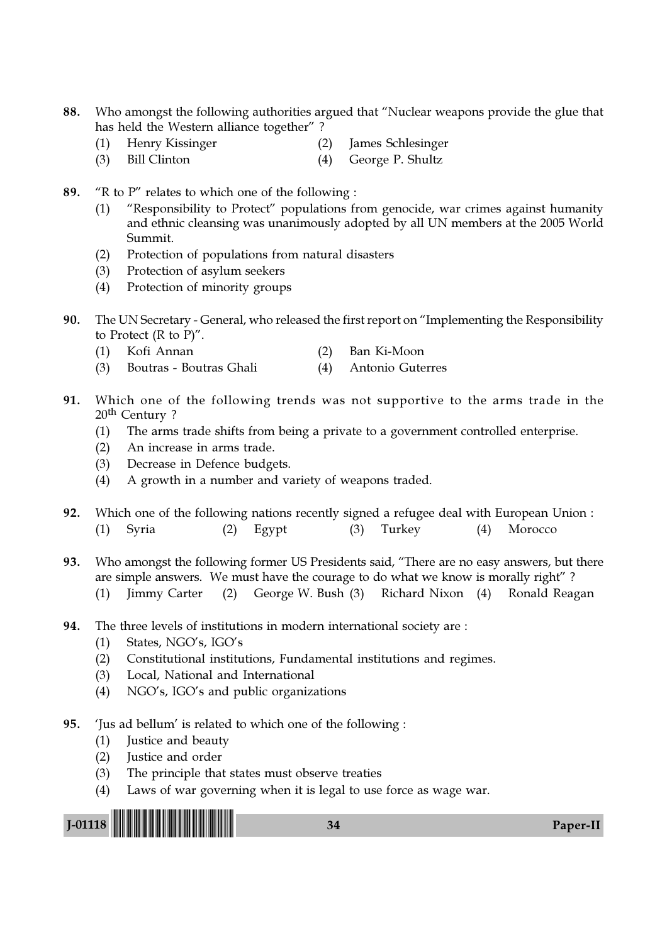- 88. Who amongst the following authorities argued that "Nuclear weapons provide the glue that has held the Western alliance together" ?
	- (1) Henry Kissinger (2) James Schlesinger
	- (3) Bill Clinton (4) George P. Shultz
- 89. "R to P" relates to which one of the following :
	- (1) "Responsibility to Protect" populations from genocide, war crimes against humanity and ethnic cleansing was unanimously adopted by all UN members at the 2005 World Summit.
	- (2) Protection of populations from natural disasters
	- (3) Protection of asylum seekers
	- (4) Protection of minority groups
- 90. The UN Secretary General, who released the first report on "Implementing the Responsibility to Protect  $(R \text{ to } P)$ ".
	- (1) Kofi Annan (2) Ban Ki-Moon
	- (3) Boutras Boutras Ghali (4) Antonio Guterres
- 91. Which one of the following trends was not supportive to the arms trade in the 20th Century ?
	- (1) The arms trade shifts from being a private to a government controlled enterprise.
	- (2) An increase in arms trade.
	- (3) Decrease in Defence budgets.
	- (4) A growth in a number and variety of weapons traded.
- 92. Which one of the following nations recently signed a refugee deal with European Union : (1) Syria (2) Egypt (3) Turkey (4) Morocco
- 93. Who amongst the following former US Presidents said, "There are no easy answers, but there are simple answers. We must have the courage to do what we know is morally right" ? (1) Jimmy Carter (2) George W. Bush (3) Richard Nixon (4) Ronald Reagan
	-
- 94. The three levels of institutions in modern international society are :
	- (1) States, NGO's, IGO's
	- (2) Constitutional institutions, Fundamental institutions and regimes.
	- (3) Local, National and International
	- (4) NGO's, IGO's and public organizations
- 95. 'Jus ad bellum' is related to which one of the following :
	- (1) Justice and beauty
	- (2) Justice and order
	- (3) The principle that states must observe treaties
	- (4) Laws of war governing when it is legal to use force as wage war.

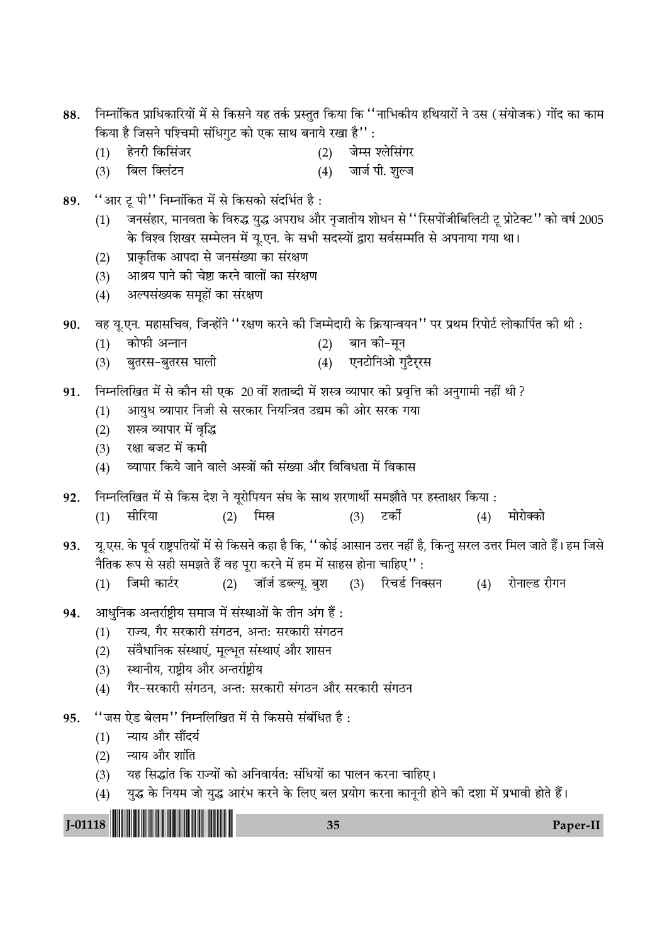| 88.       | निम्नांकित प्राधिकारियों में से किसने यह तर्क प्रस्तुत किया कि ''नाभिकीय हथियारों ने उस (संयोजक) गोंद का काम |                                                                                                             |     |       |            |     |                                          |     |                                                                                                                        |
|-----------|--------------------------------------------------------------------------------------------------------------|-------------------------------------------------------------------------------------------------------------|-----|-------|------------|-----|------------------------------------------|-----|------------------------------------------------------------------------------------------------------------------------|
|           |                                                                                                              | किया है जिसने पश्चिमी संधिगुट को एक साथ बनाये रखा है'' :                                                    |     |       |            |     |                                          |     |                                                                                                                        |
|           | (1)                                                                                                          | हेनरी किसिंजर<br>बिल क्लिंटन                                                                                |     |       | (2)<br>(4) |     | जेम्स श्लेसिंगर<br>जार्ज पी. शुल्ज       |     |                                                                                                                        |
|           | (3)                                                                                                          |                                                                                                             |     |       |            |     |                                          |     |                                                                                                                        |
| 89.       |                                                                                                              | "आर टू पी" निम्नांकित में से किसको संदर्भित है:                                                             |     |       |            |     |                                          |     |                                                                                                                        |
|           | (1)                                                                                                          |                                                                                                             |     |       |            |     |                                          |     | जनसंहार, मानवता के विरुद्ध युद्ध अपराध और नृजातीय शोधन से ''रिसपोंजीबिलिटी टू प्रोटेक्ट'' को वर्ष 2005                 |
|           |                                                                                                              | के विश्व शिखर सम्मेलन में यू.एन. के सभी सदस्यों द्वारा सर्वसम्मति से अपनाया गया था।                         |     |       |            |     |                                          |     |                                                                                                                        |
|           | (2)<br>(3)                                                                                                   | प्राकृतिक आपदा से जनसंख्या का संरक्षण<br>आश्रय पाने की चेष्टा करने वालों का संरक्षण                         |     |       |            |     |                                          |     |                                                                                                                        |
|           | (4)                                                                                                          | अल्पसंख्यक समूहों का संरक्षण                                                                                |     |       |            |     |                                          |     |                                                                                                                        |
|           |                                                                                                              |                                                                                                             |     |       |            |     |                                          |     |                                                                                                                        |
| 90.       |                                                                                                              | : वह यू.एन. महासचिव, जिन्होंने ''रक्षण करने की जिम्मेदारी के क्रियान्वयन'' पर प्रथम रिपोर्ट लोकार्पित की थी |     |       |            |     |                                          |     |                                                                                                                        |
|           | (1)                                                                                                          | कोफी अन्नान<br>बुतरस-बुतरस घाली                                                                             |     |       | (2)        |     | बान की–मून<br>एनटोनिओ गुटैर्रस           |     |                                                                                                                        |
|           | (3)                                                                                                          |                                                                                                             |     |       | (4)        |     |                                          |     |                                                                                                                        |
| 91.       |                                                                                                              | निम्नलिखित में से कौन सी एक 20 वीं शताब्दी में शस्त्र व्यापार की प्रवृत्ति की अनुगामी नहीं थी ?             |     |       |            |     |                                          |     |                                                                                                                        |
|           | (1)                                                                                                          | आयुध व्यापार निजी से सरकार नियन्त्रित उद्यम की ओर सरक गया                                                   |     |       |            |     |                                          |     |                                                                                                                        |
|           | (2)                                                                                                          | शस्त्र व्यापार में वृद्धि<br>रक्षा बजट में कमी                                                              |     |       |            |     |                                          |     |                                                                                                                        |
|           | (3)<br>(4)                                                                                                   | व्यापार किये जाने वाले अस्त्रों की संख्या और विविधता में विकास                                              |     |       |            |     |                                          |     |                                                                                                                        |
|           |                                                                                                              |                                                                                                             |     |       |            |     |                                          |     |                                                                                                                        |
| 92.       |                                                                                                              | निम्नलिखित में से किस देश ने यूरोपियन संघ के साथ शरणार्थी समझौते पर हस्ताक्षर किया :<br>सीरिया              |     | मिस्र |            |     | टकीं                                     |     | मोरोक्को                                                                                                               |
|           | (1)                                                                                                          |                                                                                                             | (2) |       |            | (3) |                                          | (4) |                                                                                                                        |
| 93.       |                                                                                                              |                                                                                                             |     |       |            |     |                                          |     | यू.एस. के पूर्व राष्ट्रपतियों में से किसने कहा है कि, ''कोई आसान उत्तर नहीं है, किन्तु सरल उत्तर मिल जाते हैं। हम जिसे |
|           |                                                                                                              | नैतिक रूप से सही समझते हैं वह पूरा करने में हम में साहस होना चाहिए'' :                                      |     |       |            |     |                                          |     |                                                                                                                        |
|           | (1)                                                                                                          | जिमी कार्टर                                                                                                 |     |       |            |     | (2) जॉर्ज डब्ल्यू. बुश (3) रिचर्ड निक्सन | (4) | रोनाल्ड रीगन                                                                                                           |
| 94.       |                                                                                                              | आधुनिक अन्तर्राष्ट्रीय समाज में संस्थाओं के तीन अंग हैं :                                                   |     |       |            |     |                                          |     |                                                                                                                        |
|           | (1)                                                                                                          | राज्य, गैर सरकारी संगठन, अन्त: सरकारी संगठन                                                                 |     |       |            |     |                                          |     |                                                                                                                        |
|           | (2)                                                                                                          | संवैधानिक संस्थाएं, मूल्भूत संस्थाएं और शासन                                                                |     |       |            |     |                                          |     |                                                                                                                        |
|           | (3)                                                                                                          | स्थानीय, राष्ट्रीय और अन्तर्राष्ट्रीय<br>गैर-सरकारी संगठन, अन्त: सरकारी संगठन और सरकारी संगठन               |     |       |            |     |                                          |     |                                                                                                                        |
|           | (4)                                                                                                          |                                                                                                             |     |       |            |     |                                          |     |                                                                                                                        |
| 95.       |                                                                                                              | ''जस ऐड बेलम'' निम्नलिखित में से किससे संबंधित है :                                                         |     |       |            |     |                                          |     |                                                                                                                        |
|           | (1)                                                                                                          | न्याय और सौंदर्य                                                                                            |     |       |            |     |                                          |     |                                                                                                                        |
|           | (2)<br>(3)                                                                                                   | न्याय और शांति<br>यह सिद्धांत कि राज्यों को अनिवार्यत: संधियों का पालन करना चाहिए।                          |     |       |            |     |                                          |     |                                                                                                                        |
|           | (4)                                                                                                          | युद्ध के नियम जो युद्ध आरंभ करने के लिए बल प्रयोग करना कानूनी होने की दशा में प्रभावी होते हैं।             |     |       |            |     |                                          |     |                                                                                                                        |
|           |                                                                                                              |                                                                                                             |     |       |            |     |                                          |     |                                                                                                                        |
| $J-01118$ |                                                                                                              |                                                                                                             |     |       | 35         |     |                                          |     | Paper-II                                                                                                               |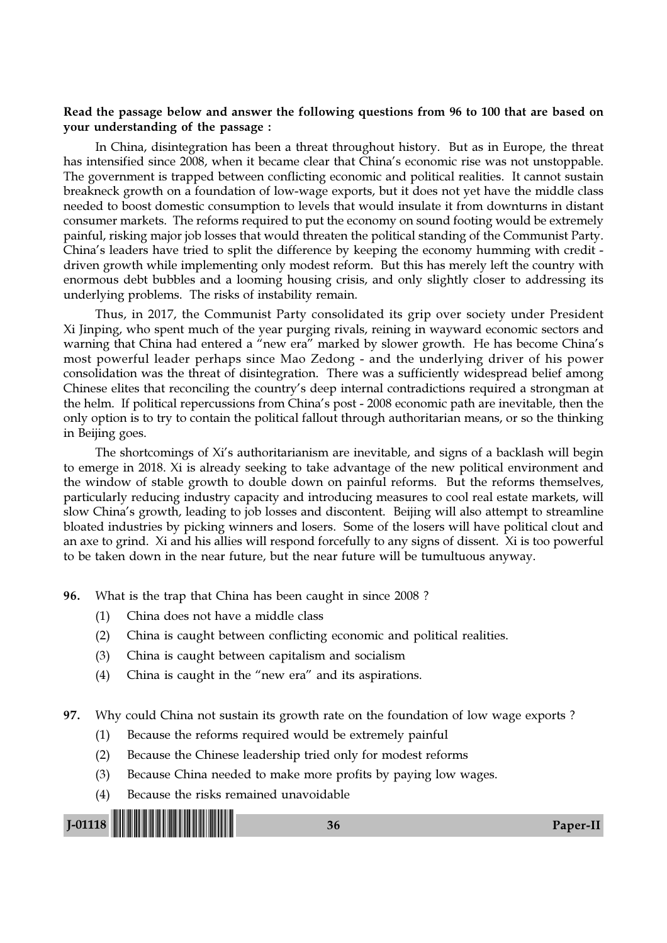#### Read the passage below and answer the following questions from 96 to 100 that are based on your understanding of the passage :

In China, disintegration has been a threat throughout history. But as in Europe, the threat has intensified since 2008, when it became clear that China's economic rise was not unstoppable. The government is trapped between conflicting economic and political realities. It cannot sustain breakneck growth on a foundation of low-wage exports, but it does not yet have the middle class needed to boost domestic consumption to levels that would insulate it from downturns in distant consumer markets. The reforms required to put the economy on sound footing would be extremely painful, risking major job losses that would threaten the political standing of the Communist Party. China's leaders have tried to split the difference by keeping the economy humming with credit driven growth while implementing only modest reform. But this has merely left the country with enormous debt bubbles and a looming housing crisis, and only slightly closer to addressing its underlying problems. The risks of instability remain.

Thus, in 2017, the Communist Party consolidated its grip over society under President Xi Jinping, who spent much of the year purging rivals, reining in wayward economic sectors and warning that China had entered a "new era" marked by slower growth. He has become China's most powerful leader perhaps since Mao Zedong - and the underlying driver of his power consolidation was the threat of disintegration. There was a sufficiently widespread belief among Chinese elites that reconciling the country's deep internal contradictions required a strongman at the helm. If political repercussions from China's post - 2008 economic path are inevitable, then the only option is to try to contain the political fallout through authoritarian means, or so the thinking in Beijing goes.

The shortcomings of Xi's authoritarianism are inevitable, and signs of a backlash will begin to emerge in 2018. Xi is already seeking to take advantage of the new political environment and the window of stable growth to double down on painful reforms. But the reforms themselves, particularly reducing industry capacity and introducing measures to cool real estate markets, will slow China's growth, leading to job losses and discontent. Beijing will also attempt to streamline bloated industries by picking winners and losers. Some of the losers will have political clout and an axe to grind. Xi and his allies will respond forcefully to any signs of dissent. Xi is too powerful to be taken down in the near future, but the near future will be tumultuous anyway.

96. What is the trap that China has been caught in since 2008 ?

- (1) China does not have a middle class
- (2) China is caught between conflicting economic and political realities.
- (3) China is caught between capitalism and socialism
- (4) China is caught in the "new era" and its aspirations.
- 97. Why could China not sustain its growth rate on the foundation of low wage exports ?
	- (1) Because the reforms required would be extremely painful
	- (2) Because the Chinese leadership tried only for modest reforms
	- (3) Because China needed to make more profits by paying low wages.
	- (4) Because the risks remained unavoidable

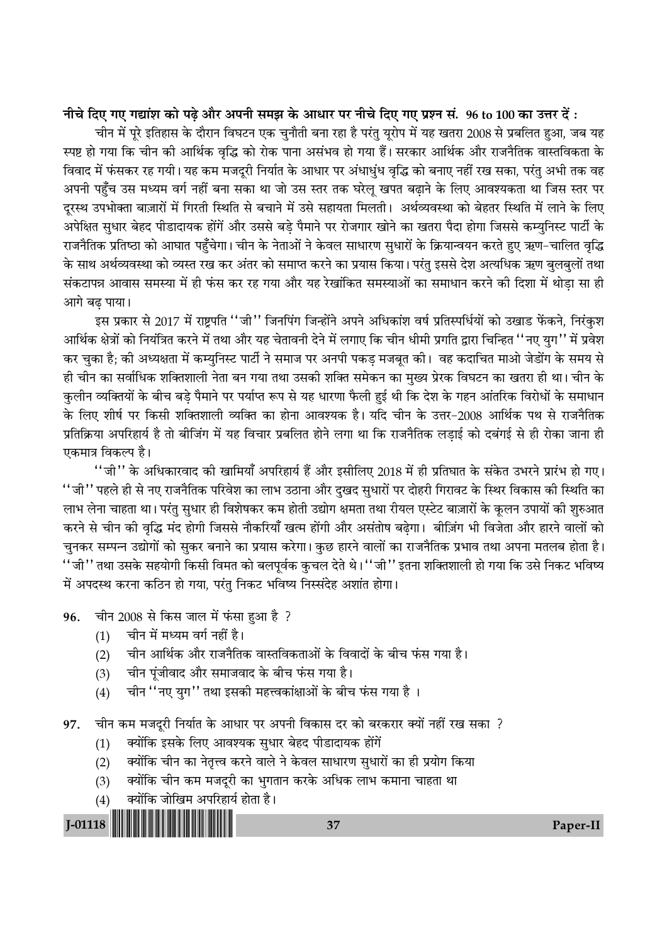नीचे दिए गए गद्यांश को पढ़े और अपनी समझ के आधार पर नीचे दिए गए प्रश्न सं. 96 to 100 का उत्तर दें:

चीन में पूरे इतिहास के दौरान विघटन एक चुनौती बना रहा है परंतु यूरोप में यह खतरा 2008 से प्रबलित हुआ, जब यह स्पष्ट हो गया कि चीन की आर्थिक वृद्धि को रोक पाना असंभव हो गया हैं। सरकार आर्थिक और राजनैतिक वास्तविकता के विवाद में फंसकर रह गयी। यह कम मजदुरी निर्यात के आधार पर अंधाधुंध वृद्धि को बनाए नहीं रख सका, परंतु अभी तक वह अपनी पहुँच उस मध्यम वर्ग नहीं बना सका था जो उस स्तर तक घरेलू खपत बढाने के लिए आवश्यकता था जिस स्तर पर दूरस्थ उपभोक्ता बाज़ारों में गिरती स्थिति से बचाने में उसे सहायता मिलती। अर्थव्यवस्था को बेहतर स्थिति में लाने के लिए अपेक्षित सुधार बेहद पीडादायक होंगें और उससे बडे पैमाने पर रोजगार खोने का खतरा पैदा होगा जिससे कम्युनिस्ट पार्टी के राजनैतिक प्रतिष्ठा को आघात पहुँचेगा। चीन के नेताओं ने केवल साधारण सुधारों के क्रियान्वयन करते हुए ऋण-चालित वृद्धि के साथ अर्थव्यवस्था को व्यस्त रख कर अंतर को समाप्त करने का प्रयास किया। परंतु इससे देश अत्यधिक ऋण बलबलों तथा संकटापन्न आवास समस्या में ही फंस कर रह गया और यह रेखांकित समस्याओं का समाधान करने की दिशा में थोडा सा ही आगे बढ पाया।

इस प्रकार से 2017 में राष्ट्रपति ''जी'' जिनपिंग जिन्होंने अपने अधिकांश वर्ष प्रतिस्पर्धियों को उखाड फेंकने, निरंकुश आर्थिक क्षेत्रों को नियंत्रित करने में तथा और यह चेतावनी देने में लगाए कि चीन धीमी प्रगति द्वारा चिन्हित ''नए युग'' में प्रवेश कर चुका है; की अध्यक्षता में कम्युनिस्ट पार्टी ने समाज पर अनपी पकड़ मजबूत की। वह कदाचित माओ जेडोंग के समय से ही चीन का सर्वाधिक शक्तिशाली नेता बन गया तथा उसकी शक्ति समेकन का मख्य प्रेरक विघटन का खतरा ही था। चीन के कुलीन व्यक्तियों के बीच बड़े पैमाने पर पर्याप्त रूप से यह धारणा फैली हुई थी कि देश के गहन आंतरिक विरोधों के समाधान के लिए शीर्ष पर किसी शक्तिशाली व्यक्ति का होना आवश्यक है। यदि चीन के उत्तर-2008 आर्थिक पथ से राजनैतिक प्रतिक्रिया अपरिहार्य है तो बीजिंग में यह विचार प्रबलित होने लगा था कि राजनैतिक लड़ाई को दबंगई से ही रोका जाना ही एकमात्र विकल्प है।

''जी'' के अधिकारवाद की खामियाँ अपरिहार्य हैं और इसीलिए 2018 में ही प्रतिघात के संकेत उभरने प्रारंभ हो गए। ''जी'' पहले ही से नए राजनैतिक परिवेश का लाभ उठाना और दुखद सुधारों पर दोहरी गिरावट के स्थिर विकास की स्थिति का लाभ लेना चाहता था। परंतु सुधार ही विशेषकर कम होती उद्योग क्षमता तथा रीयल एस्टेट बाज़ारों के कुलन उपायों की शुरुआत करने से चीन की वृद्धि मंद होगी जिससे नौकरियाँ खत्म होंगी और असंतोष बढ़ेगा। बीज़िंग भी विजेता और हारने वालों को चुनकर सम्पन्न उद्योगों को सुकर बनाने का प्रयास करेगा। कुछ हारने वालों का राजनैतिक प्रभाव तथा अपना मतलब होता है। ''जी'' तथा उसके सहयोगी किसी विमत को बलपूर्वक कुचल देते थे।''जी'' इतना शक्तिशाली हो गया कि उसे निकट भविष्य में अपदस्थ करना कठिन हो गया, परंतु निकट भविष्य निस्संदेह अशांत होगा।

चीन 2008 से किस जाल में फंसा हुआ है ? 96.

- चीन में मध्यम वर्ग नहीं है।  $(1)$
- चीन आर्थिक और राजनैतिक वास्तविकताओं के विवादों के बीच फंस गया है।  $(2)$
- चीन पूंजीवाद और समाजवाद के बीच फंस गया है।  $(3)$
- चीन "नए युग" तथा इसकी महत्त्वकांक्षाओं के बीच फंस गया है।  $(4)$

चीन कम मजदूरी निर्यात के आधार पर अपनी विकास दर को बरकरार क्यों नहीं रख सका ? 97.

- क्योंकि इसके लिए आवश्यक सुधार बेहद पीडादायक होंगें  $(1)$
- क्योंकि चीन का नेतृत्त्व करने वाले ने केवल साधारण सुधारों का ही प्रयोग किया  $(2)$
- क्योंकि चीन कम मजदूरी का भुगतान करके अधिक लाभ कमाना चाहता था  $(3)$
- क्योंकि जोखिम अपरिहार्य होता है।  $(4)$

 $J-01118$ 

37

Paper-II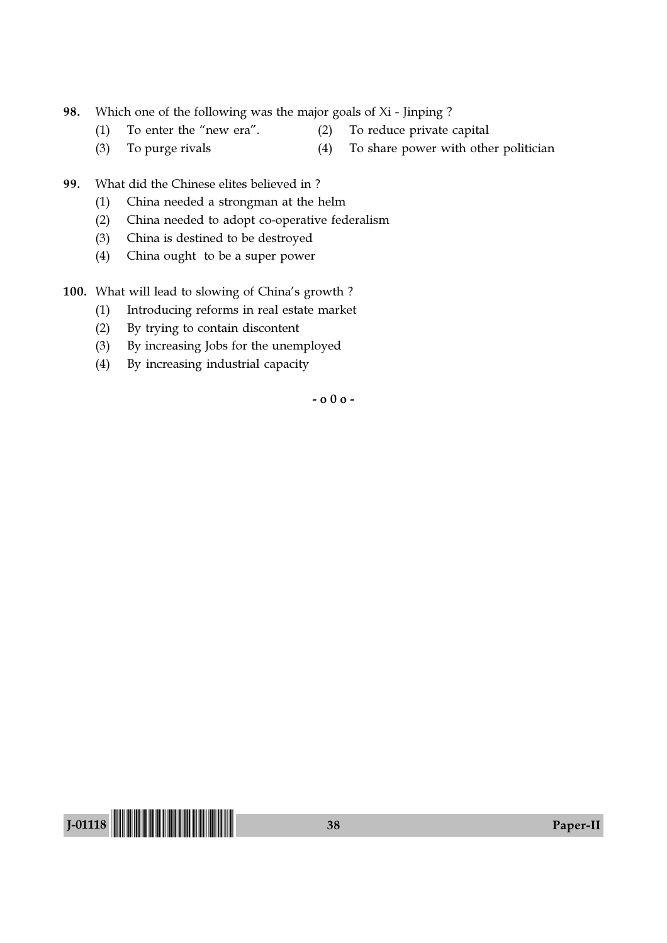- 98. Which one of the following was the major goals of Xi Jinping ?
	- (1) To enter the "new era". (2) To reduce private capital
	- (3) To purge rivals (4) To share power with other politician
- 99. What did the Chinese elites believed in ?
	- (1) China needed a strongman at the helm
	- (2) China needed to adopt co-operative federalism
	- (3) China is destined to be destroyed
	- (4) China ought to be a super power
- 100. What will lead to slowing of China's growth ?
	- (1) Introducing reforms in real estate market
	- (2) By trying to contain discontent
	- (3) By increasing Jobs for the unemployed
	- (4) By increasing industrial capacity

- o 0 o -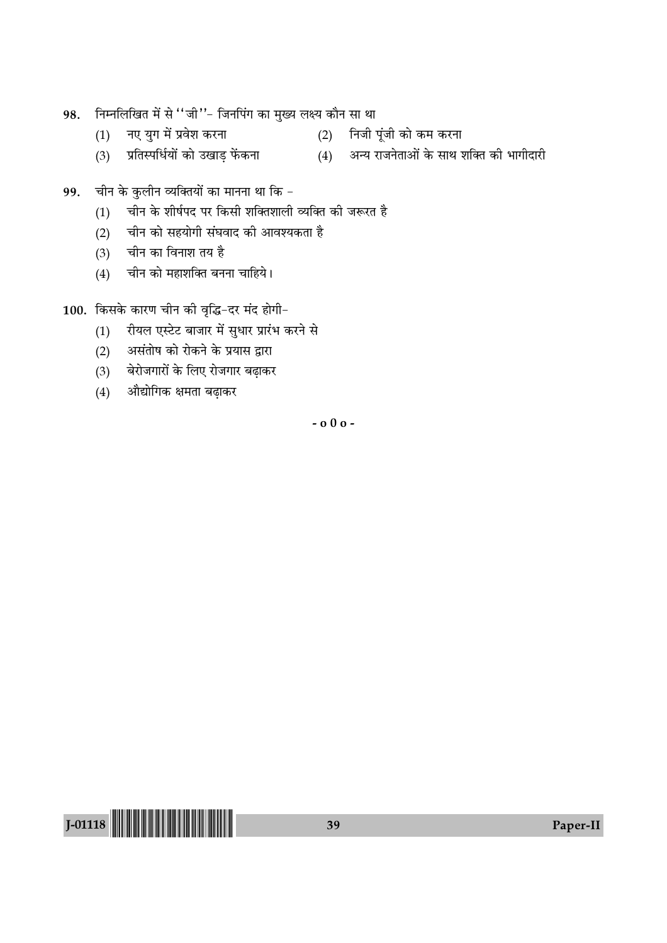- निम्नलिखित में से ''जी''- जिनपिंग का मुख्य लक्ष्य कौन सा था 98.
	- नए युग में प्रवेश करना  $(1)$
- (2) निजी पूंजी को कम करना प्रतिस्पर्धियों को उखाड़ फेंकना (4) अन्य राजनेताओं के साथ शक्ति की भागीदारी
- चीन के कुलीन व्यक्तियों का मानना था कि 99.
	- चीन के शीर्षपद पर किसी शक्तिशाली व्यक्ति की जरूरत है  $(1)$
	- चीन को सहयोगी संघवाद की आवश्यकता है  $(2)$
	- चीन का विनाश तय है  $(3)$

 $(3)$ 

चीन को महाशक्ति बनना चाहिये।  $(4)$ 

100. किसके कारण चीन की वृद्धि-दर मंद होगी-

- रीयल एस्टेट बाजार में सुधार प्रारंभ करने से  $(1)$
- असंतोष को रोकने के प्रयास द्वारा  $(2)$
- बेरोजगारों के लिए रोजगार बढ़ाकर  $(3)$
- औद्योगिक क्षमता बढ़ाकर  $(4)$

 $-000-$